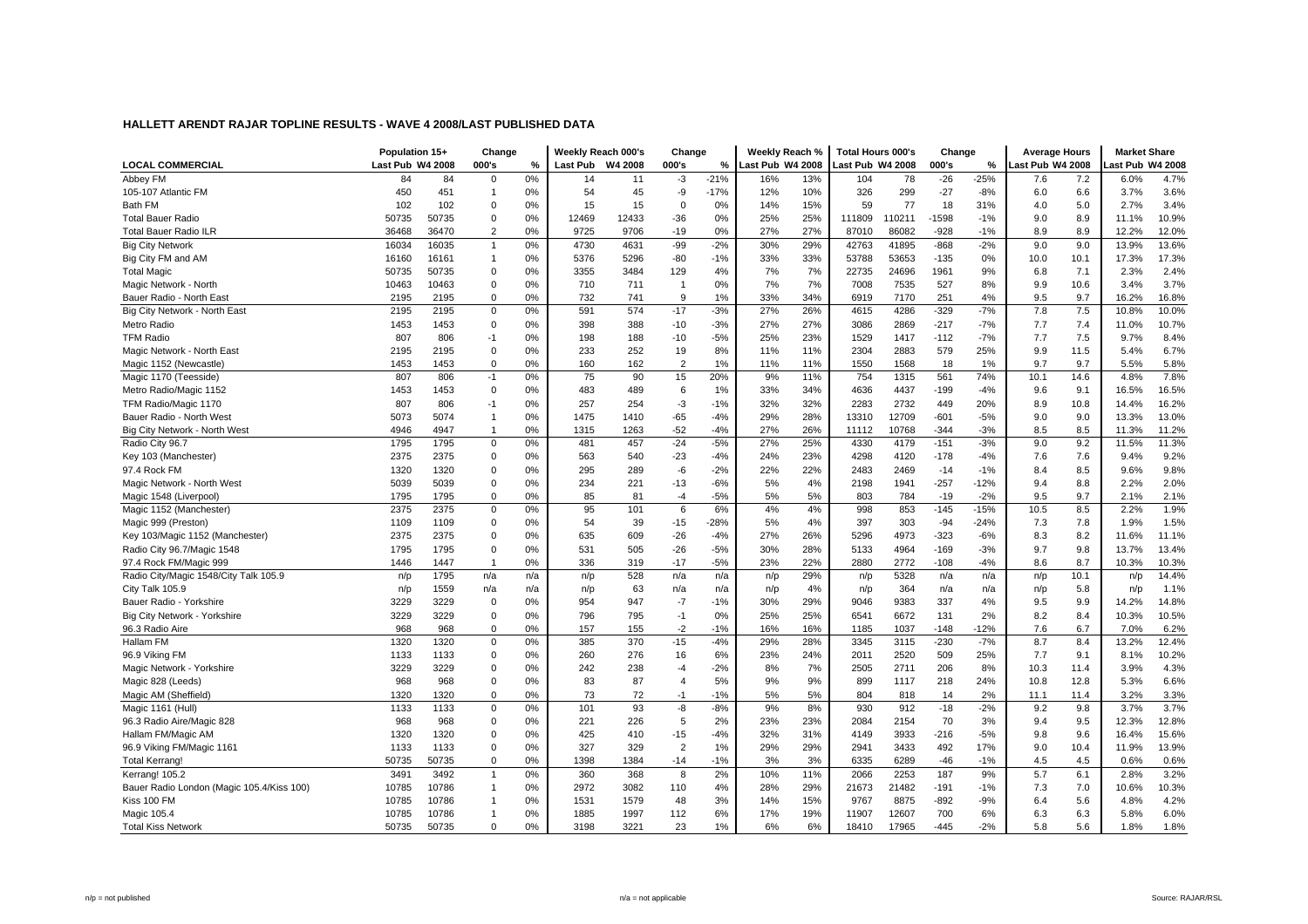|                                           | Population 15+   |       | Change         |     |                 | Weekly Reach 000's | Change         |               | Weekly Reach %   |     | <b>Total Hours 000's</b> |        | Change  |        | <b>Average Hours</b> |      | <b>Market Share</b> |       |
|-------------------------------------------|------------------|-------|----------------|-----|-----------------|--------------------|----------------|---------------|------------------|-----|--------------------------|--------|---------|--------|----------------------|------|---------------------|-------|
| <b>LOCAL COMMERCIAL</b>                   | Last Pub W4 2008 |       | 000's          | %   | <b>Last Pub</b> | W4 2008            | 000's          | $\frac{9}{6}$ | Last Pub W4 2008 |     | Last Pub W4 2008         |        | 000's   | %      | Last Pub W4 2008     |      | ast Pub W4 2008     |       |
| Abbey FM                                  | 84               | 84    | $\mathbf 0$    | 0%  | 14              | 11                 | -3             | $-21%$        | 16%              | 13% | 104                      | 78     | $-26$   | $-25%$ | 7.6                  | 7.2  | 6.0%                | 4.7%  |
| 105-107 Atlantic FM                       | 450              | 451   | $\overline{1}$ | 0%  | 54              | 45                 | -9             | $-17%$        | 12%              | 10% | 326                      | 299    | $-27$   | $-8%$  | 6.0                  | 6.6  | 3.7%                | 3.6%  |
| Bath FM                                   | 102              | 102   | $\mathbf 0$    | 0%  | 15              | 15                 | $\mathbf 0$    | 0%            | 14%              | 15% | 59                       | 77     | 18      | 31%    | 4.0                  | 5.0  | 2.7%                | 3.4%  |
| <b>Total Bauer Radio</b>                  | 50735            | 50735 | $\mathbf 0$    | 0%  | 12469           | 12433              | $-36$          | 0%            | 25%              | 25% | 111809                   | 110211 | $-1598$ | $-1%$  | 9.0                  | 8.9  | 11.1%               | 10.9% |
| <b>Total Bauer Radio ILR</b>              | 36468            | 36470 | $\overline{2}$ | 0%  | 9725            | 9706               | $-19$          | 0%            | 27%              | 27% | 87010                    | 86082  | $-928$  | $-1%$  | 8.9                  | 8.9  | 12.2%               | 12.0% |
| <b>Big City Network</b>                   | 16034            | 16035 | $\mathbf{1}$   | 0%  | 4730            | 4631               | $-99$          | $-2%$         | 30%              | 29% | 42763                    | 41895  | $-868$  | $-2%$  | 9.0                  | 9.0  | 13.9%               | 13.6% |
| Big City FM and AM                        | 16160            | 16161 | $\mathbf{1}$   | 0%  | 5376            | 5296               | $-80$          | $-1%$         | 33%              | 33% | 53788                    | 53653  | $-135$  | 0%     | 10.0                 | 10.1 | 17.3%               | 17.3% |
| <b>Total Magic</b>                        | 50735            | 50735 | $\mathbf 0$    | 0%  | 3355            | 3484               | 129            | 4%            | 7%               | 7%  | 22735                    | 24696  | 1961    | 9%     | 6.8                  | 7.1  | 2.3%                | 2.4%  |
| Magic Network - North                     | 10463            | 10463 | $\pmb{0}$      | 0%  | 710             | 711                | $\mathbf{1}$   | 0%            | 7%               | 7%  | 7008                     | 7535   | 527     | 8%     | 9.9                  | 10.6 | 3.4%                | 3.7%  |
| Bauer Radio - North East                  | 2195             | 2195  | $\mathbf 0$    | 0%  | 732             | 741                | 9              | 1%            | 33%              | 34% | 6919                     | 7170   | 251     | 4%     | 9.5                  | 9.7  | 16.2%               | 16.8% |
| Big City Network - North East             | 2195             | 2195  | $\mathbf 0$    | 0%  | 591             | 574                | $-17$          | $-3%$         | 27%              | 26% | 4615                     | 4286   | $-329$  | $-7%$  | 7.8                  | 7.5  | 10.8%               | 10.0% |
| Metro Radio                               | 1453             | 1453  | $\mathbf 0$    | 0%  | 398             | 388                | $-10$          | $-3%$         | 27%              | 27% | 3086                     | 2869   | $-217$  | $-7%$  | 7.7                  | 7.4  | 11.0%               | 10.7% |
| <b>TFM Radio</b>                          | 807              | 806   | $-1$           | 0%  | 198             | 188                | $-10$          | $-5%$         | 25%              | 23% | 1529                     | 1417   | $-112$  | $-7%$  | 7.7                  | 7.5  | 9.7%                | 8.4%  |
| Magic Network - North East                | 2195             | 2195  | $\mathbf 0$    | 0%  | 233             | 252                | 19             | 8%            | 11%              | 11% | 2304                     | 2883   | 579     | 25%    | 9.9                  | 11.5 | 5.4%                | 6.7%  |
| Magic 1152 (Newcastle)                    | 1453             | 1453  | $\mathbf 0$    | 0%  | 160             | 162                | $\overline{2}$ | 1%            | 11%              | 11% | 1550                     | 1568   | 18      | 1%     | 9.7                  | 9.7  | 5.5%                | 5.8%  |
| Magic 1170 (Teesside)                     | 807              | 806   | $-1$           | 0%  | 75              | 90                 | 15             | 20%           | 9%               | 11% | 754                      | 1315   | 561     | 74%    | 10.1                 | 14.6 | 4.8%                | 7.8%  |
| Metro Radio/Magic 1152                    | 1453             | 1453  | $\mathbf 0$    | 0%  | 483             | 489                | 6              | 1%            | 33%              | 34% | 4636                     | 4437   | $-199$  | $-4%$  | 9.6                  | 9.1  | 16.5%               | 16.5% |
| TFM Radio/Magic 1170                      | 807              | 806   | $-1$           | 0%  | 257             | 254                | $-3$           | $-1%$         | 32%              | 32% | 2283                     | 2732   | 449     | 20%    | 8.9                  | 10.8 | 14.4%               | 16.2% |
| Bauer Radio - North West                  | 5073             | 5074  | $\mathbf{1}$   | 0%  | 1475            | 1410               | $-65$          | $-4%$         | 29%              | 28% | 13310                    | 12709  | $-601$  | $-5%$  | 9.0                  | 9.0  | 13.3%               | 13.0% |
| Big City Network - North West             | 4946             | 4947  | $\mathbf{1}$   | 0%  | 1315            | 1263               | $-52$          | $-4%$         | 27%              | 26% | 11112                    | 10768  | $-344$  | $-3%$  | 8.5                  | 8.5  | 11.3%               | 11.2% |
| Radio City 96.7                           | 1795             | 1795  | $\mathbf 0$    | 0%  | 481             | 457                | $-24$          | $-5%$         | 27%              | 25% | 4330                     | 4179   | $-151$  | $-3%$  | 9.0                  | 9.2  | 11.5%               | 11.3% |
| Key 103 (Manchester)                      | 2375             | 2375  | $\mathbf 0$    | 0%  | 563             | 540                | $-23$          | $-4%$         | 24%              | 23% | 4298                     | 4120   | $-178$  | $-4%$  | 7.6                  | 7.6  | 9.4%                | 9.2%  |
| 97.4 Rock FM                              | 1320             | 1320  | $\mathbf 0$    | 0%  | 295             | 289                | -6             | $-2%$         | 22%              | 22% | 2483                     | 2469   | $-14$   | $-1%$  | 8.4                  | 8.5  | 9.6%                | 9.8%  |
| Magic Network - North West                | 5039             | 5039  | $\mathbf 0$    | 0%  | 234             | 221                | $-13$          | $-6%$         | 5%               | 4%  | 2198                     | 1941   | $-257$  | $-12%$ | 9.4                  | 8.8  | 2.2%                | 2.0%  |
| Magic 1548 (Liverpool                     | 1795             | 1795  | $\mathbf 0$    | 0%  | 85              | 81                 | $-4$           | $-5%$         | 5%               | 5%  | 803                      | 784    | $-19$   | $-2%$  | 9.5                  | 9.7  | 2.1%                | 2.1%  |
| Magic 1152 (Manchester)                   | 2375             | 2375  | $\mathbf 0$    | 0%  | 95              | 101                | 6              | 6%            | 4%               | 4%  | 998                      | 853    | $-145$  | $-15%$ | 10.5                 | 8.5  | 2.2%                | 1.9%  |
| Magic 999 (Preston)                       | 1109             | 1109  | $\mathbf 0$    | 0%  | 54              | 39                 | $-15$          | $-28%$        | 5%               | 4%  | 397                      | 303    | $-94$   | $-24%$ | 7.3                  | 7.8  | 1.9%                | 1.5%  |
| Key 103/Magic 1152 (Manchester)           | 2375             | 2375  | $\mathbf 0$    | 0%  | 635             | 609                | $-26$          | $-4%$         | 27%              | 26% | 5296                     | 4973   | $-323$  | $-6%$  | 8.3                  | 8.2  | 11.6%               | 11.1% |
| Radio City 96.7/Magic 1548                | 1795             | 1795  | $\mathbf 0$    | 0%  | 531             | 505                | $-26$          | $-5%$         | 30%              | 28% | 5133                     | 4964   | $-169$  | $-3%$  | 9.7                  | 9.8  | 13.7%               | 13.4% |
| 97.4 Rock FM/Magic 999                    | 1446             | 1447  | $\mathbf{1}$   | 0%  | 336             | 319                | $-17$          | $-5%$         | 23%              | 22% | 2880                     | 2772   | $-108$  | $-4%$  | 8.6                  | 8.7  | 10.3%               | 10.3% |
| Radio City/Magic 1548/City Talk 105.9     | n/p              | 1795  | n/a            | n/a | n/p             | 528                | n/a            | n/a           | n/p              | 29% | n/p                      | 5328   | n/a     | n/a    | n/p                  | 10.1 | n/p                 | 14.4% |
| City Talk 105.9                           | n/p              | 1559  | n/a            | n/a | n/p             | 63                 | n/a            | n/a           | n/p              | 4%  | n/p                      | 364    | n/a     | n/a    | n/p                  | 5.8  | n/p                 | 1.1%  |
| Bauer Radio - Yorkshire                   | 3229             | 3229  | $\mathbf 0$    | 0%  | 954             | 947                | $-7$           | $-1%$         | 30%              | 29% | 9046                     | 9383   | 337     | 4%     | 9.5                  | 9.9  | 14.2%               | 14.8% |
| Big City Network - Yorkshire              | 3229             | 3229  | $\mathbf 0$    | 0%  | 796             | 795                | $-1$           | 0%            | 25%              | 25% | 6541                     | 6672   | 131     | 2%     | 8.2                  | 8.4  | 10.3%               | 10.5% |
| 96.3 Radio Aire                           | 968              | 968   | $\mathbf 0$    | 0%  | 157             | 155                | $-2$           | $-1%$         | 16%              | 16% | 1185                     | 1037   | $-148$  | $-12%$ | 7.6                  | 6.7  | 7.0%                | 6.2%  |
| Hallam FM                                 | 1320             | 1320  | $\mathbf 0$    | 0%  | 385             | 370                | $-15$          | $-4%$         | 29%              | 28% | 3345                     | 3115   | $-230$  | $-7%$  | 8.7                  | 8.4  | 13.2%               | 12.4% |
| 96.9 Viking FM                            | 1133             | 1133  | $\mathbf 0$    | 0%  | 260             | 276                | 16             | 6%            | 23%              | 24% | 2011                     | 2520   | 509     | 25%    | 7.7                  | 9.1  | 8.1%                | 10.2% |
| Magic Network - Yorkshire                 | 3229             | 3229  | $\mathbf 0$    | 0%  | 242             | 238                | $-4$           | $-2%$         | 8%               | 7%  | 2505                     | 2711   | 206     | 8%     | 10.3                 | 11.4 | 3.9%                | 4.3%  |
| Magic 828 (Leeds)                         | 968              | 968   | $\mathbf 0$    | 0%  | 83              | 87                 | $\overline{4}$ | 5%            | 9%               | 9%  | 899                      | 1117   | 218     | 24%    | 10.8                 | 12.8 | 5.3%                | 6.6%  |
| Magic AM (Sheffield)                      | 1320             | 1320  | $\mathbf 0$    | 0%  | 73              | 72                 | $-1$           | $-1%$         | 5%               | 5%  | 804                      | 818    | 14      | 2%     | 11.1                 | 11.4 | 3.2%                | 3.3%  |
| Magic 1161 (Hull)                         | 1133             | 1133  | $\mathbf 0$    | 0%  | 101             | 93                 | -8             | $-8%$         | 9%               | 8%  | 930                      | 912    | $-18$   | $-2%$  | 9.2                  | 9.8  | 3.7%                | 3.7%  |
| 96.3 Radio Aire/Magic 828                 | 968              | 968   | $\mathbf 0$    | 0%  | 221             | 226                | 5              | 2%            | 23%              | 23% | 2084                     | 2154   | 70      | 3%     | 9.4                  | 9.5  | 12.3%               | 12.8% |
| Hallam FM/Magic AM                        | 1320             | 1320  | $\mathbf 0$    | 0%  | 425             | 410                | $-15$          | $-4%$         | 32%              | 31% | 4149                     | 3933   | $-216$  | $-5%$  | 9.8                  | 9.6  | 16.4%               | 15.6% |
| 96.9 Viking FM/Magic 1161                 | 1133             | 1133  | $\mathbf 0$    | 0%  | 327             | 329                | $\overline{2}$ | 1%            | 29%              | 29% | 2941                     | 3433   | 492     | 17%    | 9.0                  | 10.4 | 11.9%               | 13.9% |
| Total Kerrang!                            | 50735            | 50735 | $\mathbf 0$    | 0%  | 1398            | 1384               | $-14$          | $-1%$         | 3%               | 3%  | 6335                     | 6289   | $-46$   | $-1%$  | 4.5                  | 4.5  | 0.6%                | 0.6%  |
| Kerrang! 105.2                            | 3491             | 3492  | $\mathbf{1}$   | 0%  | 360             | 368                | 8              | 2%            | 10%              | 11% | 2066                     | 2253   | 187     | 9%     | 5.7                  | 6.1  | 2.8%                | 3.2%  |
| Bauer Radio London (Magic 105.4/Kiss 100) | 10785            | 10786 | $\mathbf{1}$   | 0%  | 2972            | 3082               | 110            | 4%            | 28%              | 29% | 21673                    | 21482  | $-191$  | $-1%$  | 7.3                  | 7.0  | 10.6%               | 10.3% |
| Kiss 100 FM                               | 10785            | 10786 | $\mathbf{1}$   | 0%  | 1531            | 1579               | 48             | 3%            | 14%              | 15% | 9767                     | 8875   | $-892$  | $-9%$  | 6.4                  | 5.6  | 4.8%                | 4.2%  |
| Magic 105.4                               | 10785            | 10786 | $\mathbf{1}$   | 0%  | 1885            | 1997               | 112            | 6%            | 17%              | 19% | 11907                    | 12607  | 700     | 6%     | 6.3                  | 6.3  | 5.8%                | 6.0%  |
| <b>Total Kiss Network</b>                 | 50735            | 50735 | $\mathbf 0$    | 0%  | 3198            | 3221               | 23             | 1%            | 6%               | 6%  | 18410                    | 17965  | $-445$  | $-2%$  | 5.8                  | 5.6  | 1.8%                | 1.8%  |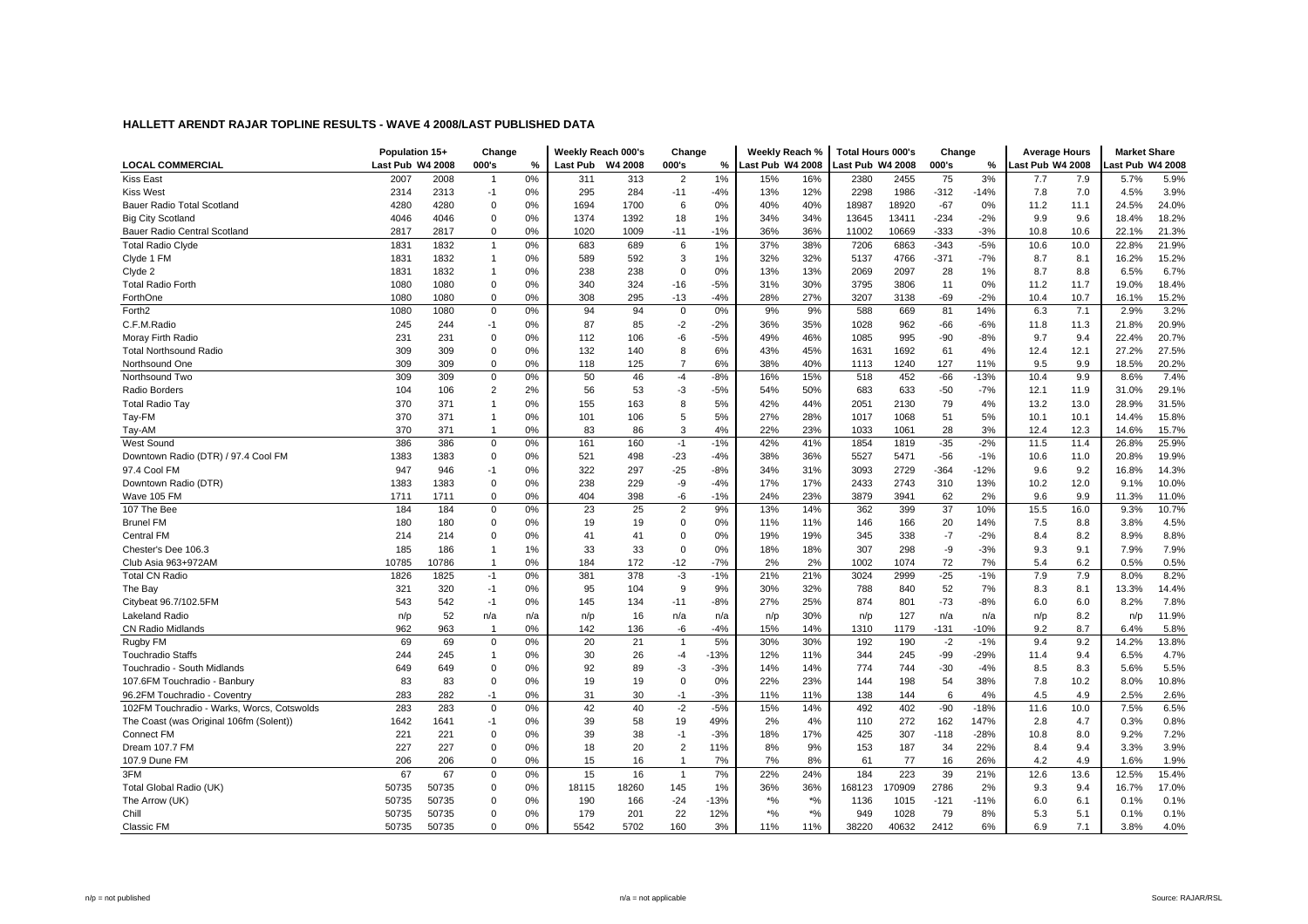|                                            | Population 15+   |           | Change                        |           |            | Weekly Reach 000's | Change               |             | Weekly Reach %   |            | <b>Total Hours 000's</b> |             | Change         |                 | <b>Average Hours</b> |            | <b>Market Share</b> |               |
|--------------------------------------------|------------------|-----------|-------------------------------|-----------|------------|--------------------|----------------------|-------------|------------------|------------|--------------------------|-------------|----------------|-----------------|----------------------|------------|---------------------|---------------|
| <b>LOCAL COMMERCIAL</b>                    | Last Pub W4 2008 |           | 000's                         | %         | Last Pub   | W4 2008            | 000's                | %           | Last Pub W4 2008 |            | Last Pub W4 2008         |             | 000's          | %               | Last Pub W4 2008     |            | ast Pub W4 2008     |               |
| <b>Kiss East</b>                           | 2007             | 2008      | $\overline{1}$                | 0%        | 311        | 313                | $\overline{2}$       | 1%          | 15%              | 16%        | 2380                     | 2455        | 75             | 3%              | 7.7                  | 7.9        | 5.7%                | 5.9%          |
| <b>Kiss West</b>                           | 2314             | 2313      | $-1$                          | 0%        | 295        | 284                | $-11$                | $-4%$       | 13%              | 12%        | 2298                     | 1986        | $-312$         | $-14%$          | 7.8                  | 7.0        | 4.5%                | 3.9%          |
| Bauer Radio Total Scotland                 | 4280             | 4280      | $\mathbf 0$                   | 0%        | 1694       | 1700               | 6                    | 0%          | 40%              | 40%        | 18987                    | 18920       | $-67$          | 0%              | 11.2                 | 11.1       | 24.5%               | 24.0%         |
| <b>Big City Scotland</b>                   | 4046             | 4046      | $\Omega$                      | 0%        | 1374       | 1392               | 18                   | 1%          | 34%              | 34%        | 13645                    | 13411       | $-234$         | $-2%$           | 9.9                  | 9.6        | 18.4%               | 18.2%         |
| Bauer Radio Central Scotland               | 2817             | 2817      | $\mathbf 0$                   | 0%        | 1020       | 1009               | $-11$                | $-1%$       | 36%              | 36%        | 11002                    | 10669       | $-333$         | $-3%$           | 10.8                 | 10.6       | 22.1%               | 21.3%         |
| <b>Total Radio Clyde</b>                   | 1831             | 1832      | $\mathbf{1}$                  | 0%        | 683        | 689                | 6                    | 1%          | 37%              | 38%        | 7206                     | 6863        | $-343$         | $-5%$           | 10.6                 | 10.0       | 22.8%               | 21.9%         |
| Clyde 1 FM                                 | 1831             | 1832      | $\mathbf{1}$                  | 0%        | 589        | 592                | 3                    | 1%          | 32%              | 32%        | 5137                     | 4766        | $-371$         | $-7%$           | 8.7                  | 8.1        | 16.2%               | 15.2%         |
| Clyde 2                                    | 1831             | 1832      | $\overline{1}$                | 0%        | 238        | 238                | $\mathbf 0$          | 0%          | 13%              | 13%        | 2069                     | 2097        | 28             | 1%              | 8.7                  | 8.8        | 6.5%                | 6.7%          |
| <b>Total Radio Forth</b>                   | 1080             | 1080      | $\mathbf 0$                   | 0%        | 340        | 324                | $-16$                | $-5%$       | 31%              | 30%        | 3795                     | 3806        | 11             | 0%              | 11.2                 | 11.7       | 19.0%               | 18.4%         |
| ForthOne                                   | 1080             | 1080      | $\mathbf 0$                   | 0%        | 308        | 295                | $-13$                | $-4%$       | 28%              | 27%        | 3207                     | 3138        | $-69$          | $-2%$           | 10.4                 | 10.7       | 16.1%               | 15.2%         |
| Forth <sub>2</sub>                         | 1080             | 1080      | $\mathbf 0$                   | 0%        | 94         | 94                 | $\mathbf 0$          | 0%          | 9%               | 9%         | 588                      | 669         | 81             | 14%             | 6.3                  | 7.1        | 2.9%                | 3.2%          |
| C.F.M.Radio                                | 245              | 244       | $-1$                          | 0%        | 87         | 85                 | $-2$                 | $-2%$       | 36%              | 35%        | 1028                     | 962         | $-66$          | $-6%$           | 11.8                 | 11.3       | 21.8%               | 20.9%         |
| Moray Firth Radio                          | 231              | 231       | $\mathbf 0$                   | 0%        | 112        | 106                | -6                   | $-5%$       | 49%              | 46%        | 1085                     | 995         | -90            | -8%             | 9.7                  | 9.4        | 22.4%               | 20.7%         |
| <b>Total Northsound Radio</b>              | 309              | 309       | $\Omega$                      | 0%        | 132        | 140                | 8                    | 6%          | 43%              | 45%        | 1631                     | 1692        | 61             | 4%              | 12.4                 | 12.1       | 27.2%               | 27.5%         |
| Northsound One                             | 309              | 309       | $\mathbf 0$                   | 0%        | 118        | 125                | $\overline{7}$       | 6%          | 38%              | 40%        | 1113                     | 1240        | 127            | 11%             | 9.5                  | 9.9        | 18.5%               | 20.2%         |
| Northsound Two                             | 309              | 309       | $\mathsf 0$                   | 0%        | 50         | 46                 | $-4$                 | $-8%$       | 16%              | 15%        | 518                      | 452         | $-66$          | $-13%$          | 10.4                 | 9.9        | 8.6%                | 7.4%          |
| Radio Borders                              | 104              | 106       | $\overline{2}$                | 2%        | 56         | 53                 | -3                   | $-5%$       | 54%              | 50%        | 683                      | 633         | $-50$          | $-7%$           | 12.1                 | 11.9       | 31.0%               | 29.1%         |
| <b>Total Radio Tay</b>                     | 370              | 371       | $\overline{1}$                | 0%        | 155        | 163                | 8                    | 5%          | 42%              | 44%        | 2051                     | 2130        | 79             | 4%              | 13.2                 | 13.0       | 28.9%               | 31.5%         |
| Tay-FM                                     | 370              | 371       | $\overline{1}$                | 0%        | 101        | 106                | 5                    | 5%          | 27%              | 28%        | 1017                     | 1068        | 51             | 5%              | 10.1                 | 10.1       | 14.4%               | 15.8%         |
| Tay-AM                                     | 370              | 371       | $\overline{1}$                | 0%        | 83         | 86                 | 3                    | 4%          | 22%              | 23%        | 1033                     | 1061        | 28             | 3%              | 12.4                 | 12.3       | 14.6%               | 15.7%         |
| West Sound                                 | 386              | 386       | $\mathbf 0$                   | 0%        | 161        | 160                | $-1$                 | $-1%$       | 42%              | 41%        | 1854                     | 1819        | $-35$          | $-2%$           | 11.5                 | 11.4       | 26.8%               | 25.9%         |
| Downtown Radio (DTR) / 97.4 Cool FM        | 1383             | 1383      | $\mathbf 0$                   | 0%        | 521        | 498                | $-23$                | $-4%$       | 38%              | 36%        | 5527                     | 5471        | $-56$          | $-1%$           | 10.6                 | 11.0       | 20.8%               | 19.9%         |
| 97.4 Cool FM                               | 947              | 946       | $-1$                          | 0%        | 322        | 297                | $-25$                | $-8%$       | 34%              | 31%        | 3093                     | 2729        | $-364$         | $-12%$          | 9.6                  | 9.2        | 16.8%               | 14.3%         |
| Downtown Radio (DTR)                       | 1383             | 1383      | $\mathbf 0$                   | 0%        | 238        | 229                | -9                   | $-4%$       | 17%              | 17%        | 2433                     | 2743        | 310            | 13%             | 10.2                 | 12.0       | 9.1%                | 10.0%         |
| Wave 105 FM                                | 1711             | 1711      | $\mathbf 0$                   | 0%        | 404        | 398                | -6                   | $-1%$       | 24%              | 23%        | 3879                     | 3941        | 62             | 2%              | 9.6                  | 9.9        | 11.3%               | 11.0%         |
| 107 The Bee                                | 184              | 184       | $\mathbf 0$                   | 0%        | 23         | 25                 | $\overline{2}$       | 9%          | 13%              | 14%        | 362                      | 399         | 37             | 10%             | 15.5                 | 16.0       | 9.3%                | 10.7%         |
| <b>Brunel FM</b>                           | 180              | 180       | $\mathbf 0$                   | 0%        | 19         | 19                 | $\Omega$             | 0%          | 11%              | 11%        | 146                      | 166         | 20             | 14%             | 7.5                  | 8.8        | 3.8%                | 4.5%          |
| Central FM                                 | 214              | 214       | $\mathbf 0$                   | 0%        | 41         | 41                 | $\Omega$             | 0%          | 19%              | 19%        | 345                      | 338         | $-7$           | $-2%$           | 8.4                  | 8.2        | 8.9%                | 8.8%          |
| Chester's Dee 106.3                        | 185              | 186       | $\overline{1}$                | 1%        | 33         | 33                 | $\mathbf 0$          | 0%          | 18%              | 18%        | 307                      | 298         | -9             | $-3%$           | 9.3                  | 9.1        | 7.9%                | 7.9%          |
| Club Asia 963+972AM                        | 10785            | 10786     | $\overline{1}$                | 0%        | 184        | 172                | $-12$                | $-7%$       | 2%               | 2%         | 1002                     | 1074        | 72             | 7%              | 5.4                  | 6.2        | 0.5%                | 0.5%          |
| <b>Total CN Radio</b>                      | 1826             | 1825      | $-1$                          | 0%        | 381        | 378                | $-3$                 | $-1%$       | 21%              | 21%        | 3024                     | 2999        | $-25$          | $-1%$           | 7.9                  | 7.9        | 8.0%                | 8.2%          |
|                                            | 321              | 320       | $-1$                          | 0%        | 95         | 104                | 9                    | 9%          | 30%              | 32%        | 788                      | 840         | 52             | 7%              | 8.3                  | 8.1        | 13.3%               | 14.4%         |
| The Bay<br>Citybeat 96.7/102.5FM           | 543              | 542       | $-1$                          | 0%        | 145        | 134                | $-11$                | $-8%$       | 27%              | 25%        | 874                      | 801         | $-73$          | $-8%$           | 6.0                  | 6.0        | 8.2%                | 7.8%          |
| <b>Lakeland Radio</b>                      |                  | 52        |                               |           |            | 16                 |                      |             |                  | 30%        |                          | 127         |                |                 |                      |            |                     | 11.9%         |
|                                            | n/p              |           | n/a                           | n/a<br>0% | n/p<br>142 |                    | n/a                  | n/a         | n/p              |            | n/p                      |             | n/a            | n/a             | n/p                  | 8.2        | n/p                 |               |
| <b>CN Radio Midlands</b><br>Rugby FM       | 962<br>69        | 963<br>69 | $\overline{1}$<br>$\mathbf 0$ | 0%        | 20         | 136<br>21          | -6<br>$\overline{1}$ | $-4%$<br>5% | 15%<br>30%       | 14%<br>30% | 1310<br>192              | 1179<br>190 | $-131$<br>$-2$ | $-10%$<br>$-1%$ | 9.2<br>9.4           | 8.7<br>9.2 | 6.4%<br>14.2%       | 5.8%<br>13.8% |
|                                            |                  |           |                               |           |            |                    |                      |             |                  |            |                          |             |                |                 |                      |            |                     | 4.7%          |
| <b>Touchradio Staffs</b>                   | 244              | 245       | $\mathbf{1}$                  | 0%        | 30         | 26                 | $-4$                 | $-13%$      | 12%              | 11%        | 344                      | 245         | -99            | $-29%$          | 11.4                 | 9.4        | 6.5%                |               |
| Touchradio - South Midlands                | 649              | 649       | $\mathbf 0$                   | 0%        | 92         | 89                 | -3                   | $-3%$       | 14%              | 14%        | 774                      | 744         | $-30$          | $-4%$           | 8.5                  | 8.3        | 5.6%                | 5.5%          |
| 107.6FM Touchradio - Banbury               | 83               | 83        | $\mathbf 0$                   | 0%        | 19         | 19                 | $\mathbf 0$          | 0%          | 22%              | 23%        | 144                      | 198         | 54             | 38%             | 7.8                  | 10.2       | 8.0%                | 10.8%         |
| 96.2FM Touchradio - Coventry               | 283              | 282       | $-1$                          | 0%        | 31         | 30                 | $-1$                 | $-3%$       | 11%              | 11%        | 138                      | 144         | 6              | 4%              | 4.5                  | 4.9        | 2.5%                | 2.6%          |
| 102FM Touchradio - Warks, Worcs, Cotswolds | 283              | 283       | $\mathbf{0}$                  | 0%        | 42         | 40                 | $-2$                 | $-5%$       | 15%              | 14%        | 492                      | 402         | $-90$          | $-18%$          | 11.6                 | 10.0       | 7.5%                | 6.5%          |
| The Coast (was Original 106fm (Solent))    | 1642             | 1641      | $-1$                          | 0%        | 39         | 58                 | 19                   | 49%         | 2%               | 4%         | 110                      | 272         | 162            | 147%            | 2.8                  | 4.7        | 0.3%                | 0.8%          |
| <b>Connect FM</b>                          | 221              | 221       | $\Omega$                      | 0%        | 39         | 38                 | $-1$                 | $-3%$       | 18%              | 17%        | 425                      | 307         | $-118$         | $-28%$          | 10.8                 | 8.0        | 9.2%                | 7.2%          |
| Dream 107.7 FM                             | 227              | 227       | $\mathbf 0$                   | 0%        | 18         | 20                 | $\overline{2}$       | 11%         | 8%               | 9%         | 153                      | 187         | 34             | 22%             | 8.4                  | 9.4        | 3.3%                | 3.9%          |
| 107.9 Dune FM                              | 206              | 206       | $\pmb{0}$                     | 0%        | 15         | 16                 | $\overline{1}$       | 7%          | 7%               | 8%         | 61                       | 77          | 16             | 26%             | 4.2                  | 4.9        | 1.6%                | 1.9%          |
| 3FM                                        | 67               | 67        | $\mathbf 0$                   | 0%        | 15         | 16                 | $\overline{1}$       | 7%          | 22%              | 24%        | 184                      | 223         | 39             | 21%             | 12.6                 | 13.6       | 12.5%               | 15.4%         |
| Total Global Radio (UK)                    | 50735            | 50735     | $\mathbf 0$                   | 0%        | 18115      | 18260              | 145                  | 1%          | 36%              | 36%        | 168123                   | 70909       | 2786           | 2%              | 9.3                  | 9.4        | 16.7%               | 17.0%         |
| The Arrow (UK)                             | 50735            | 50735     | $\mathbf 0$                   | 0%        | 190        | 166                | $-24$                | $-13%$      | $*$ %            | $*$ %      | 1136                     | 1015        | $-121$         | $-11%$          | 6.0                  | 6.1        | 0.1%                | 0.1%          |
| Chill                                      | 50735            | 50735     | $\mathbf 0$                   | 0%        | 179        | 201                | 22                   | 12%         | $*$ %            | $\star$ %  | 949                      | 1028        | 79             | 8%              | 5.3                  | 5.1        | 0.1%                | 0.1%          |
| Classic FM                                 | 50735            | 50735     | $\mathbf 0$                   | 0%        | 5542       | 5702               | 160                  | 3%          | 11%              | 11%        | 38220                    | 40632       | 2412           | 6%              | 6.9                  | 7.1        | 3.8%                | 4.0%          |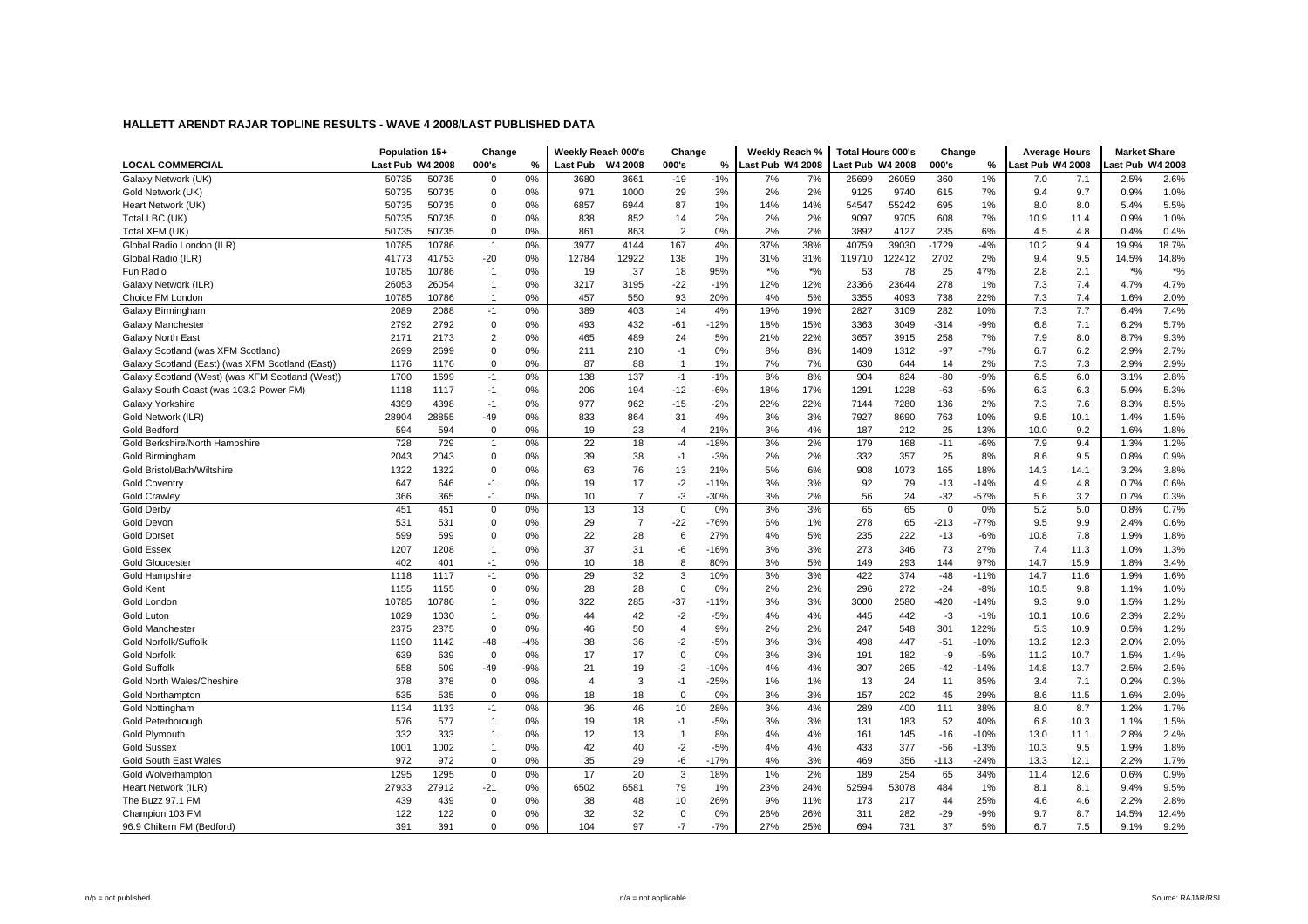|                                                  | Population 15+   |       | Change         |       |                 | Weekly Reach 000's | Change         |        | Weekly Reach %   |       | Total Hours 000's |        | Change      |        | <b>Average Hours</b> |      | <b>Market Share</b> |       |
|--------------------------------------------------|------------------|-------|----------------|-------|-----------------|--------------------|----------------|--------|------------------|-------|-------------------|--------|-------------|--------|----------------------|------|---------------------|-------|
| <b>LOCAL COMMERCIAL</b>                          | Last Pub W4 2008 |       | 000's          | $\%$  | <b>Last Pub</b> | W4 2008            | 000's          | ℅      | Last Pub W4 2008 |       | Last Pub W4 2008  |        | 000's       | $\%$   | Last Pub W4 2008     |      | ast Pub W4 2008     |       |
| Galaxy Network (UK)                              | 50735            | 50735 | $\mathbf 0$    | 0%    | 3680            | 3661               | $-19$          | $-1%$  | 7%               | 7%    | 25699             | 26059  | 360         | 1%     | 7.0                  | 7.1  | 2.5%                | 2.6%  |
| Gold Network (UK)                                | 50735            | 50735 | $\mathbf 0$    | 0%    | 971             | 1000               | 29             | 3%     | 2%               | 2%    | 9125              | 9740   | 615         | 7%     | 9.4                  | 9.7  | 0.9%                | 1.0%  |
| Heart Network (UK)                               | 50735            | 50735 | $\mathbf 0$    | 0%    | 6857            | 6944               | 87             | 1%     | 14%              | 14%   | 54547             | 55242  | 695         | 1%     | 8.0                  | 8.0  | 5.4%                | 5.5%  |
| Total LBC (UK)                                   | 50735            | 50735 | $\mathbf{0}$   | 0%    | 838             | 852                | 14             | 2%     | 2%               | 2%    | 9097              | 9705   | 608         | 7%     | 10.9                 | 11.4 | 0.9%                | 1.0%  |
| Total XFM (UK)                                   | 50735            | 50735 | $\Omega$       | 0%    | 861             | 863                | $\overline{2}$ | 0%     | 2%               | 2%    | 3892              | 4127   | 235         | 6%     | 4.5                  | 4.8  | 0.4%                | 0.4%  |
| Global Radio London (ILR)                        | 10785            | 10786 | $\overline{1}$ | 0%    | 3977            | 4144               | 167            | 4%     | 37%              | 38%   | 40759             | 39030  | $-1729$     | $-4%$  | 10.2                 | 9.4  | 19.9%               | 18.7% |
| Global Radio (ILR)                               | 41773            | 41753 | $-20$          | 0%    | 12784           | 12922              | 138            | 1%     | 31%              | 31%   | 119710            | 122412 | 2702        | 2%     | 9.4                  | 9.5  | 14.5%               | 14.8% |
| Fun Radio                                        | 10785            | 10786 | $\overline{1}$ | 0%    | 19              | 37                 | 18             | 95%    | $*$ %            | $*$ % | 53                | 78     | 25          | 47%    | 2.8                  | 2.1  | $*$ %               | $*$ % |
| Galaxy Network (ILR)                             | 26053            | 26054 | $\overline{1}$ | 0%    | 3217            | 3195               | $-22$          | $-1%$  | 12%              | 12%   | 23366             | 23644  | 278         | 1%     | 7.3                  | 7.4  | 4.7%                | 4.7%  |
| Choice FM London                                 | 10785            | 10786 | $\overline{1}$ | 0%    | 457             | 550                | 93             | 20%    | 4%               | 5%    | 3355              | 4093   | 738         | 22%    | 7.3                  | 7.4  | 1.6%                | 2.0%  |
| Galaxy Birmingham                                | 2089             | 2088  | $-1$           | 0%    | 389             | 403                | 14             | 4%     | 19%              | 19%   | 2827              | 3109   | 282         | 10%    | 7.3                  | 7.7  | 6.4%                | 7.4%  |
| Galaxy Manchester                                | 2792             | 2792  | $\mathbf 0$    | 0%    | 493             | 432                | $-61$          | $-12%$ | 18%              | 15%   | 3363              | 3049   | $-314$      | $-9%$  | 6.8                  | 7.1  | 6.2%                | 5.7%  |
| <b>Galaxy North East</b>                         | 2171             | 2173  | $\overline{2}$ | 0%    | 465             | 489                | 24             | 5%     | 21%              | 22%   | 3657              | 3915   | 258         | 7%     | 7.9                  | 8.0  | 8.7%                | 9.3%  |
| Galaxy Scotland (was XFM Scotland)               | 2699             | 2699  | $\mathbf 0$    | 0%    | 211             | 210                | $-1$           | 0%     | 8%               | 8%    | 1409              | 1312   | $-97$       | $-7%$  | 6.7                  | 6.2  | 2.9%                | 2.7%  |
| Galaxy Scotland (East) (was XFM Scotland (East)) | 1176             | 1176  | $\mathbf 0$    | 0%    | 87              | 88                 | $\overline{1}$ | 1%     | 7%               | 7%    | 630               | 644    | 14          | 2%     | 7.3                  | 7.3  | 2.9%                | 2.9%  |
| Galaxy Scotland (West) (was XFM Scotland (West)) | 1700             | 1699  | $-1$           | 0%    | 138             | 137                | $-1$           | $-1%$  | 8%               | 8%    | 904               | 824    | $-80$       | $-9%$  | 6.5                  | 6.0  | 3.1%                | 2.8%  |
| Galaxy South Coast (was 103.2 Power FM)          | 1118             | 1117  | $-1$           | 0%    | 206             | 194                | $-12$          | $-6%$  | 18%              | 17%   | 1291              | 1228   | $-63$       | $-5%$  | 6.3                  | 6.3  | 5.9%                | 5.3%  |
| Galaxy Yorkshire                                 | 4399             | 4398  | $-1$           | 0%    | 977             | 962                | $-15$          | $-2%$  | 22%              | 22%   | 7144              | 7280   | 136         | 2%     | 7.3                  | 7.6  | 8.3%                | 8.5%  |
| Gold Network (ILR)                               | 28904            | 28855 | $-49$          | 0%    | 833             | 864                | 31             | 4%     | 3%               | 3%    | 7927              | 8690   | 763         | 10%    | 9.5                  | 10.1 | 1.4%                | 1.5%  |
| Gold Bedford                                     | 594              | 594   | $\mathbf 0$    | 0%    | 19              | 23                 | $\overline{4}$ | 21%    | 3%               | 4%    | 187               | 212    | 25          | 13%    | 10.0                 | 9.2  | 1.6%                | 1.8%  |
| Gold Berkshire/North Hampshire                   | 728              | 729   | $\mathbf{1}$   | 0%    | 22              | 18                 | $-4$           | $-18%$ | 3%               | 2%    | 179               | 168    | $-11$       | $-6%$  | 7.9                  | 9.4  | 1.3%                | 1.2%  |
| Gold Birmingham                                  | 2043             | 2043  | $\mathbf 0$    | 0%    | 39              | 38                 | $-1$           | $-3%$  | 2%               | 2%    | 332               | 357    | 25          | 8%     | 8.6                  | 9.5  | 0.8%                | 0.9%  |
| Gold Bristol/Bath/Wiltshire                      | 1322             | 1322  | $\mathbf 0$    | 0%    | 63              | 76                 | 13             | 21%    | 5%               | 6%    | 908               | 1073   | 165         | 18%    | 14.3                 | 14.1 | 3.2%                | 3.8%  |
| <b>Gold Coventry</b>                             | 647              | 646   | $-1$           | 0%    | 19              | 17                 | $-2$           | $-11%$ | 3%               | 3%    | 92                | 79     | $-13$       | $-14%$ | 4.9                  | 4.8  | 0.7%                | 0.6%  |
| <b>Gold Crawley</b>                              | 366              | 365   | $-1$           | 0%    | 10              | $\overline{7}$     | $-3$           | $-30%$ | 3%               | 2%    | 56                | 24     | $-32$       | $-57%$ | 5.6                  | 3.2  | 0.7%                | 0.3%  |
| <b>Gold Derby</b>                                | 451              | 451   | $\mathbf 0$    | 0%    | 13              | 13                 | $\mathbf 0$    | 0%     | 3%               | 3%    | 65                | 65     | $\mathbf 0$ | 0%     | 5.2                  | 5.0  | 0.8%                | 0.7%  |
| Gold Devon                                       | 531              | 531   | $\mathbf 0$    | 0%    | 29              | $\overline{7}$     | $-22$          | $-76%$ | 6%               | 1%    | 278               | 65     | $-213$      | $-77%$ | 9.5                  | 9.9  | 2.4%                | 0.6%  |
| <b>Gold Dorset</b>                               | 599              | 599   | $\Omega$       | 0%    | 22              | 28                 | 6              | 27%    | 4%               | 5%    | 235               | 222    | $-13$       | $-6%$  | 10.8                 | 7.8  | 1.9%                | 1.8%  |
| <b>Gold Essex</b>                                | 1207             | 1208  | $\overline{1}$ | 0%    | 37              | 31                 | -6             | $-16%$ | 3%               | 3%    | 273               | 346    | 73          | 27%    | 7.4                  | 11.3 | 1.0%                | 1.3%  |
| <b>Gold Gloucester</b>                           | 402              | 401   | $-1$           | 0%    | 10              | 18                 | 8              | 80%    | 3%               | 5%    | 149               | 293    | 144         | 97%    | 14.7                 | 15.9 | 1.8%                | 3.4%  |
| Gold Hampshire                                   | 1118             | 1117  | $-1$           | 0%    | 29              | 32                 | 3              | 10%    | 3%               | 3%    | 422               | 374    | $-48$       | $-11%$ | 14.7                 | 11.6 | 1.9%                | 1.6%  |
| Gold Kent                                        | 1155             | 1155  | $\mathbf 0$    | 0%    | 28              | 28                 | $\mathbf 0$    | 0%     | 2%               | 2%    | 296               | 272    | $-24$       | $-8%$  | 10.5                 | 9.8  | 1.1%                | 1.0%  |
| Gold London                                      | 10785            | 10786 | $\overline{1}$ | 0%    | 322             | 285                | $-37$          | $-11%$ | 3%               | 3%    | 3000              | 2580   | -420        | $-14%$ | 9.3                  | 9.0  | 1.5%                | 1.2%  |
| Gold Luton                                       | 1029             | 1030  | $\overline{1}$ | 0%    | 44              | 42                 | $-2$           | $-5%$  | 4%               | 4%    | 445               | 442    | $-3$        | $-1%$  | 10.1                 | 10.6 | 2.3%                | 2.2%  |
| <b>Gold Manchester</b>                           | 2375             | 2375  | $\mathbf 0$    | 0%    | 46              | 50                 | $\overline{4}$ | 9%     | 2%               | 2%    | 247               | 548    | 301         | 122%   | 5.3                  | 10.9 | 0.5%                | 1.2%  |
| Gold Norfolk/Suffolk                             | 1190             | 1142  | $-48$          | $-4%$ | 38              | 36                 | $-2$           | $-5%$  | 3%               | 3%    | 498               | 447    | $-51$       | $-10%$ | 13.2                 | 12.3 | 2.0%                | 2.0%  |
| <b>Gold Norfolk</b>                              | 639              | 639   | $\mathbf 0$    | 0%    | 17              | 17                 | $\mathbf 0$    | 0%     | 3%               | 3%    | 191               | 182    | -9          | $-5%$  | 11.2                 | 10.7 | 1.5%                | 1.4%  |
| <b>Gold Suffolk</b>                              | 558              | 509   | $-49$          | $-9%$ | 21              | 19                 | $-2$           | $-10%$ | 4%               | 4%    | 307               | 265    | $-42$       | $-14%$ | 14.8                 | 13.7 | 2.5%                | 2.5%  |
| Gold North Wales/Cheshire                        | 378              | 378   | $\mathbf 0$    | 0%    | $\overline{4}$  | 3                  | $-1$           | $-25%$ | 1%               | 1%    | 13                | 24     | 11          | 85%    | 3.4                  | 7.1  | 0.2%                | 0.3%  |
| <b>Gold Northampton</b>                          | 535              | 535   | $\mathbf 0$    | 0%    | 18              | 18                 | $\mathbf 0$    | 0%     | 3%               | 3%    | 157               | 202    | 45          | 29%    | 8.6                  | 11.5 | 1.6%                | 2.0%  |
| Gold Nottingham                                  | 1134             | 1133  | $-1$           | 0%    | 36              | 46                 | 10             | 28%    | 3%               | 4%    | 289               | 400    | 111         | 38%    | 8.0                  | 8.7  | 1.2%                | 1.7%  |
| Gold Peterborough                                | 576              | 577   | $\overline{1}$ | 0%    | 19              | 18                 | $-1$           | $-5%$  | 3%               | 3%    | 131               | 183    | 52          | 40%    | 6.8                  | 10.3 | 1.1%                | 1.5%  |
| Gold Plymouth                                    | 332              | 333   | $\overline{1}$ | 0%    | 12              | 13                 | $\mathbf 1$    | 8%     | 4%               | 4%    | 161               | 145    | $-16$       | $-10%$ | 13.0                 | 11.1 | 2.8%                | 2.4%  |
| <b>Gold Sussex</b>                               | 1001             | 1002  | $\overline{1}$ | 0%    | 42              | 40                 | $-2$           | $-5%$  | 4%               | 4%    | 433               | 377    | $-56$       | $-13%$ | 10.3                 | 9.5  | 1.9%                | 1.8%  |
| <b>Gold South East Wales</b>                     | 972              | 972   | $\mathbf 0$    | 0%    | 35              | 29                 | -6             | $-17%$ | 4%               | 3%    | 469               | 356    | $-113$      | $-24%$ | 13.3                 | 12.1 | 2.2%                | 1.7%  |
| Gold Wolverhamptor                               | 1295             | 1295  | $\mathbf 0$    | 0%    | 17              | 20                 | 3              | 18%    | 1%               | 2%    | 189               | 254    | 65          | 34%    | 11.4                 | 12.6 | 0.6%                | 0.9%  |
| Heart Network (ILR)                              | 27933            | 27912 | $-21$          | 0%    | 6502            | 6581               | 79             | 1%     | 23%              | 24%   | 52594             | 53078  | 484         | 1%     | 8.1                  | 8.1  | 9.4%                | 9.5%  |
| The Buzz 97.1 FM                                 | 439              | 439   | $\mathbf 0$    | 0%    | 38              | 48                 | 10             | 26%    | 9%               | 11%   | 173               | 217    | 44          | 25%    | 4.6                  | 4.6  | 2.2%                | 2.8%  |
| Champion 103 FM                                  | 122              | 122   | $\mathbf 0$    | 0%    | 32              | 32                 | $\Omega$       | 0%     | 26%              | 26%   | 311               | 282    | $-29$       | $-9%$  | 9.7                  | 8.7  | 14.5%               | 12.4% |
| 96.9 Chiltern FM (Bedford)                       | 391              | 391   | $\mathbf 0$    | 0%    | 104             | 97                 | $-7$           | $-7%$  | 27%              | 25%   | 694               | 731    | 37          | 5%     | 6.7                  | 7.5  | 9.1%                | 9.2%  |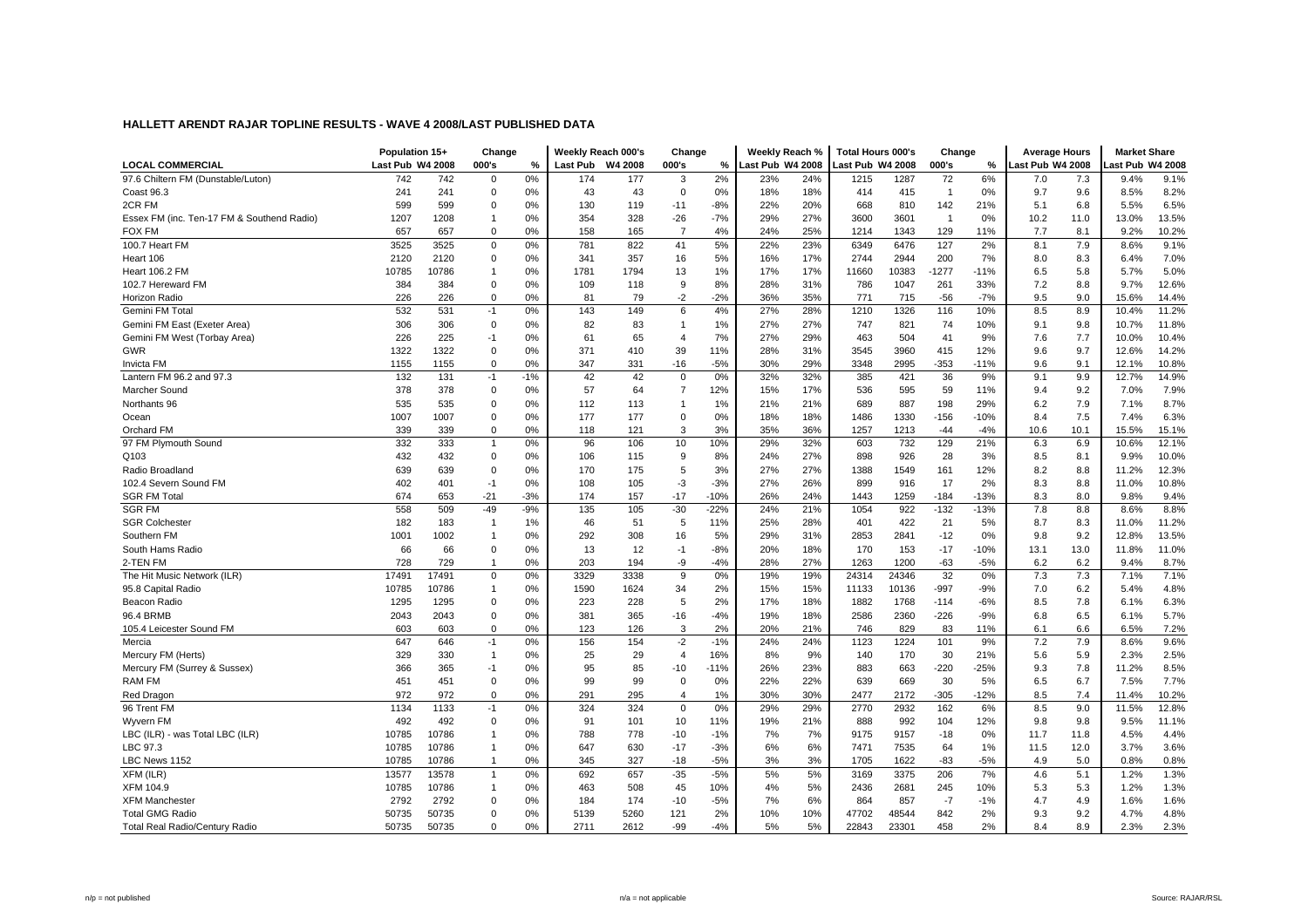|                                            | Population 15+   |       | Change         |       |                 | Weekly Reach 000's | Change         |        | Weekly Reach %   |     | <b>Total Hours 000's</b> |       | Change         |        | <b>Average Hours</b> |      | <b>Market Share</b> |       |
|--------------------------------------------|------------------|-------|----------------|-------|-----------------|--------------------|----------------|--------|------------------|-----|--------------------------|-------|----------------|--------|----------------------|------|---------------------|-------|
| <b>LOCAL COMMERCIAL</b>                    | Last Pub W4 2008 |       | 000's          | %     | <b>Last Pub</b> | W4 2008            | 000's          | %      | Last Pub W4 2008 |     | Last Pub W4 2008         |       | 000's          | %      | Last Pub W4 2008     |      | ast Pub W4 2008     |       |
| 97.6 Chiltern FM (Dunstable/Luton)         | 742              | 742   | $\mathbf 0$    | 0%    | 174             | 177                | 3              | 2%     | 23%              | 24% | 1215                     | 1287  | 72             | 6%     | 7.0                  | 7.3  | 9.4%                | 9.1%  |
| Coast 96.3                                 | 241              | 241   | $\mathbf 0$    | 0%    | 43              | 43                 | $\mathbf 0$    | 0%     | 18%              | 18% | 414                      | 415   | $\overline{1}$ | 0%     | 9.7                  | 9.6  | 8.5%                | 8.2%  |
| 2CR FM                                     | 599              | 599   | $\mathbf 0$    | 0%    | 130             | 119                | $-11$          | $-8%$  | 22%              | 20% | 668                      | 810   | 142            | 21%    | 5.1                  | 6.8  | 5.5%                | 6.5%  |
| Essex FM (inc. Ten-17 FM & Southend Radio) | 1207             | 1208  | $\overline{1}$ | 0%    | 354             | 328                | $-26$          | $-7%$  | 29%              | 27% | 3600                     | 3601  | $\overline{1}$ | 0%     | 10.2                 | 11.0 | 13.0%               | 13.5% |
| <b>FOX FM</b>                              | 657              | 657   | $\mathbf 0$    | 0%    | 158             | 165                | $\overline{7}$ | 4%     | 24%              | 25% | 1214                     | 1343  | 129            | 11%    | 7.7                  | 8.1  | 9.2%                | 10.2% |
| 100.7 Heart FM                             | 3525             | 3525  | $\mathbf 0$    | 0%    | 781             | 822                | 41             | 5%     | 22%              | 23% | 6349                     | 6476  | 127            | 2%     | 8.1                  | 7.9  | 8.6%                | 9.1%  |
| Heart 106                                  | 2120             | 2120  | $\mathbf 0$    | 0%    | 341             | 357                | 16             | 5%     | 16%              | 17% | 2744                     | 2944  | 200            | 7%     | 8.0                  | 8.3  | 6.4%                | 7.0%  |
| <b>Heart 106.2 FM</b>                      | 10785            | 10786 | $\overline{1}$ | 0%    | 1781            | 1794               | 13             | 1%     | 17%              | 17% | 11660                    | 10383 | $-1277$        | $-11%$ | 6.5                  | 5.8  | 5.7%                | 5.0%  |
| 102.7 Hereward FM                          | 384              | 384   | $\mathbf 0$    | 0%    | 109             | 118                | 9              | 8%     | 28%              | 31% | 786                      | 1047  | 261            | 33%    | 7.2                  | 8.8  | 9.7%                | 12.6% |
| <b>Horizon Radio</b>                       | 226              | 226   | $\mathbf 0$    | 0%    | 81              | 79                 | $-2$           | $-2%$  | 36%              | 35% | 771                      | 715   | $-56$          | $-7%$  | 9.5                  | 9.0  | 15.6%               | 14.4% |
| Gemini FM Total                            | 532              | 531   | $-1$           | 0%    | 143             | 149                | 6              | 4%     | 27%              | 28% | 1210                     | 1326  | 116            | 10%    | 8.5                  | 8.9  | 10.4%               | 11.2% |
| Gemini FM East (Exeter Area)               | 306              | 306   | $\mathsf 0$    | 0%    | 82              | 83                 | $\mathbf{1}$   | 1%     | 27%              | 27% | 747                      | 821   | 74             | 10%    | 9.1                  | 9.8  | 10.7%               | 11.8% |
| Gemini FM West (Torbay Area)               | 226              | 225   | $-1$           | 0%    | 61              | 65                 | $\overline{4}$ | 7%     | 27%              | 29% | 463                      | 504   | 41             | 9%     | 7.6                  | 7.7  | 10.0%               | 10.4% |
| <b>GWR</b>                                 | 1322             | 1322  | $\mathbf 0$    | 0%    | 371             | 410                | 39             | 11%    | 28%              | 31% | 3545                     | 3960  | 415            | 12%    | 9.6                  | 9.7  | 12.6%               | 14.2% |
| Invicta FM                                 | 1155             | 1155  | $\mathbf 0$    | 0%    | 347             | 331                | $-16$          | $-5%$  | 30%              | 29% | 3348                     | 2995  | $-353$         | $-11%$ | 9.6                  | 9.1  | 12.1%               | 10.8% |
| Lantern FM 96.2 and 97.3                   | 132              | 131   | -1             | $-1%$ | 42              | 42                 | $\mathbf 0$    | 0%     | 32%              | 32% | 385                      | 421   | 36             | 9%     | 9.1                  | 9.9  | 12.7%               | 14.9% |
| Marcher Sound                              | 378              | 378   | $\mathbf 0$    | 0%    | 57              | 64                 | $\overline{7}$ | 12%    | 15%              | 17% | 536                      | 595   | 59             | 11%    | 9.4                  | 9.2  | 7.0%                | 7.9%  |
| Northants 96                               | 535              | 535   | $\mathbf 0$    | 0%    | 112             | 113                | $\overline{1}$ | 1%     | 21%              | 21% | 689                      | 887   | 198            | 29%    | 6.2                  | 7.9  | 7.1%                | 8.7%  |
| Ocean                                      | 1007             | 1007  | $\mathbf 0$    | 0%    | 177             | 177                | 0              | 0%     | 18%              | 18% | 1486                     | 1330  | $-156$         | $-10%$ | 8.4                  | 7.5  | 7.4%                | 6.3%  |
| Orchard FM                                 | 339              | 339   | $\mathbf 0$    | 0%    | 118             | 121                | 3              | 3%     | 35%              | 36% | 1257                     | 1213  | $-44$          | $-4%$  | 10.6                 | 10.1 | 15.5%               | 15.1% |
| 97 FM Plymouth Sound                       | 332              | 333   | $\mathbf{1}$   | 0%    | 96              | 106                | 10             | 10%    | 29%              | 32% | 603                      | 732   | 129            | 21%    | 6.3                  | 6.9  | 10.6%               | 12.1% |
| Q103                                       | 432              | 432   | $\mathbf{0}$   | 0%    | 106             | 115                | 9              | 8%     | 24%              | 27% | 898                      | 926   | 28             | 3%     | 8.5                  | 8.1  | 9.9%                | 10.0% |
| Radio Broadland                            | 639              | 639   | $\mathbf 0$    | 0%    | 170             | 175                | 5              | 3%     | 27%              | 27% | 1388                     | 1549  | 161            | 12%    | 8.2                  | 8.8  | 11.2%               | 12.3% |
| 102.4 Severn Sound FM                      | 402              | 401   | $-1$           | 0%    | 108             | 105                | $-3$           | $-3%$  | 27%              | 26% | 899                      | 916   | 17             | 2%     | 8.3                  | 8.8  | 11.0%               | 10.8% |
| <b>SGR FM Total</b>                        | 674              | 653   | $-21$          | $-3%$ | 174             | 157                | $-17$          | $-10%$ | 26%              | 24% | 1443                     | 1259  | $-184$         | $-13%$ | 8.3                  | 8.0  | 9.8%                | 9.4%  |
| <b>SGR FM</b>                              | 558              | 509   | $-49$          | $-9%$ | 135             | 105                | $-30$          | $-22%$ | 24%              | 21% | 1054                     | 922   | $-132$         | $-13%$ | 7.8                  | 8.8  | 8.6%                | 8.8%  |
| <b>SGR Colchester</b>                      | 182              | 183   | $\overline{1}$ | 1%    | 46              | 51                 | 5              | 11%    | 25%              | 28% | 401                      | 422   | 21             | 5%     | 8.7                  | 8.3  | 11.0%               | 11.2% |
| Southern FM                                | 1001             | 1002  | $\overline{1}$ | 0%    | 292             | 308                | 16             | 5%     | 29%              | 31% | 2853                     | 2841  | $-12$          | 0%     | 9.8                  | 9.2  | 12.8%               | 13.5% |
| South Hams Radio                           | 66               | 66    | $\mathbf 0$    | 0%    | 13              | 12                 | $-1$           | $-8%$  | 20%              | 18% | 170                      | 153   | $-17$          | $-10%$ | 13.1                 | 13.0 | 11.8%               | 11.0% |
| 2-TEN FM                                   | 728              | 729   | $\overline{1}$ | 0%    | 203             | 194                | -9             | $-4%$  | 28%              | 27% | 1263                     | 1200  | $-63$          | $-5%$  | 6.2                  | 6.2  | 9.4%                | 8.7%  |
| The Hit Music Network (ILR)                | 17491            | 17491 | $\mathbf 0$    | 0%    | 3329            | 3338               | 9              | 0%     | 19%              | 19% | 24314                    | 24346 | 32             | 0%     | 7.3                  | 7.3  | 7.1%                | 7.1%  |
| 95.8 Capital Radio                         | 10785            | 10786 | $\overline{1}$ | 0%    | 1590            | 1624               | 34             | 2%     | 15%              | 15% | 11133                    | 10136 | -997           | $-9%$  | 7.0                  | 6.2  | 5.4%                | 4.8%  |
| Beacon Radio                               | 1295             | 1295  | $\mathbf 0$    | 0%    | 223             | 228                | 5              | 2%     | 17%              | 18% | 1882                     | 1768  | $-114$         | $-6%$  | 8.5                  | 7.8  | 6.1%                | 6.3%  |
| 96.4 BRMB                                  | 2043             | 2043  | $\mathsf 0$    | 0%    | 381             | 365                | $-16$          | $-4%$  | 19%              | 18% | 2586                     | 2360  | $-226$         | $-9%$  | 6.8                  | 6.5  | 6.1%                | 5.7%  |
| 105.4 Leicester Sound FM                   | 603              | 603   | $\mathsf 0$    | 0%    | 123             | 126                | 3              | 2%     | 20%              | 21% | 746                      | 829   | 83             | 11%    | 6.1                  | 6.6  | 6.5%                | 7.2%  |
| Mercia                                     | 647              | 646   | $-1$           | 0%    | 156             | 154                | $-2$           | $-1%$  | 24%              | 24% | 1123                     | 1224  | 101            | 9%     | 7.2                  | 7.9  | 8.6%                | 9.6%  |
| Mercury FM (Herts)                         | 329              | 330   | $\mathbf{1}$   | 0%    | 25              | 29                 | $\overline{4}$ | 16%    | 8%               | 9%  | 140                      | 170   | 30             | 21%    | 5.6                  | 5.9  | 2.3%                | 2.5%  |
| Mercury FM (Surrey & Sussex)               | 366              | 365   | $-1$           | 0%    | 95              | 85                 | $-10$          | $-11%$ | 26%              | 23% | 883                      | 663   | $-220$         | $-25%$ | 9.3                  | 7.8  | 11.2%               | 8.5%  |
| <b>RAM FM</b>                              | 451              | 451   | $\mathbf 0$    | 0%    | 99              | 99                 | $\Omega$       | 0%     | 22%              | 22% | 639                      | 669   | 30             | 5%     | 6.5                  | 6.7  | 7.5%                | 7.7%  |
| Red Dragon                                 | 972              | 972   | $\mathbf{0}$   | 0%    | 291             | 295                | $\overline{4}$ | 1%     | 30%              | 30% | 2477                     | 2172  | $-305$         | $-12%$ | 8.5                  | 7.4  | 11.4%               | 10.2% |
| 96 Trent FM                                | 1134             | 1133  | $-1$           | 0%    | 324             | 324                | $\mathbf 0$    | 0%     | 29%              | 29% | 2770                     | 2932  | 162            | 6%     | 8.5                  | 9.0  | 11.5%               | 12.8% |
| Wyvern FM                                  | 492              | 492   | $\mathbf 0$    | 0%    | 91              | 101                | 10             | 11%    | 19%              | 21% | 888                      | 992   | 104            | 12%    | 9.8                  | 9.8  | 9.5%                | 11.1% |
| LBC (ILR) - was Total LBC (ILR)            | 10785            | 10786 | $\overline{1}$ | 0%    | 788             | 778                | $-10$          | $-1%$  | 7%               | 7%  | 9175                     | 9157  | $-18$          | 0%     | 11.7                 | 11.8 | 4.5%                | 4.4%  |
| LBC 97.3                                   | 10785            | 10786 | $\overline{1}$ | 0%    | 647             | 630                | $-17$          | $-3%$  | 6%               | 6%  | 7471                     | 7535  | 64             | 1%     | 11.5                 | 12.0 | 3.7%                | 3.6%  |
| LBC News 1152                              | 10785            | 10786 | $\overline{1}$ | 0%    | 345             | 327                | $-18$          | $-5%$  | 3%               | 3%  | 1705                     | 1622  | $-83$          | $-5%$  | 4.9                  | 5.0  | 0.8%                | 0.8%  |
| XFM (ILR)                                  | 13577            | 13578 | $\mathbf{1}$   | 0%    | 692             | 657                | $-35$          | $-5%$  | 5%               | 5%  | 3169                     | 3375  | 206            | 7%     | 4.6                  | 5.1  | 1.2%                | 1.3%  |
| XFM 104.9                                  | 10785            | 10786 | $\overline{1}$ | 0%    | 463             | 508                | 45             | 10%    | 4%               | 5%  | 2436                     | 2681  | 245            | 10%    | 5.3                  | 5.3  | 1.2%                | 1.3%  |
| <b>XFM Manchester</b>                      | 2792             | 2792  | $\mathbf 0$    | 0%    | 184             | 174                | $-10$          | $-5%$  | 7%               | 6%  | 864                      | 857   | $-7$           | $-1%$  | 4.7                  | 4.9  | 1.6%                | 1.6%  |
| <b>Total GMG Radio</b>                     | 50735            | 50735 | $\mathbf 0$    | 0%    | 5139            | 5260               | 121            | 2%     | 10%              | 10% | 47702                    | 48544 | 842            | 2%     | 9.3                  | 9.2  | 4.7%                | 4.8%  |
| <b>Total Real Radio/Century Radio</b>      | 50735            | 50735 | $\mathbf 0$    | 0%    | 2711            | 2612               | $-99$          | $-4%$  | 5%               | 5%  | 22843                    | 23301 | 458            | 2%     | 8.4                  | 8.9  | 2.3%                | 2.3%  |
|                                            |                  |       |                |       |                 |                    |                |        |                  |     |                          |       |                |        |                      |      |                     |       |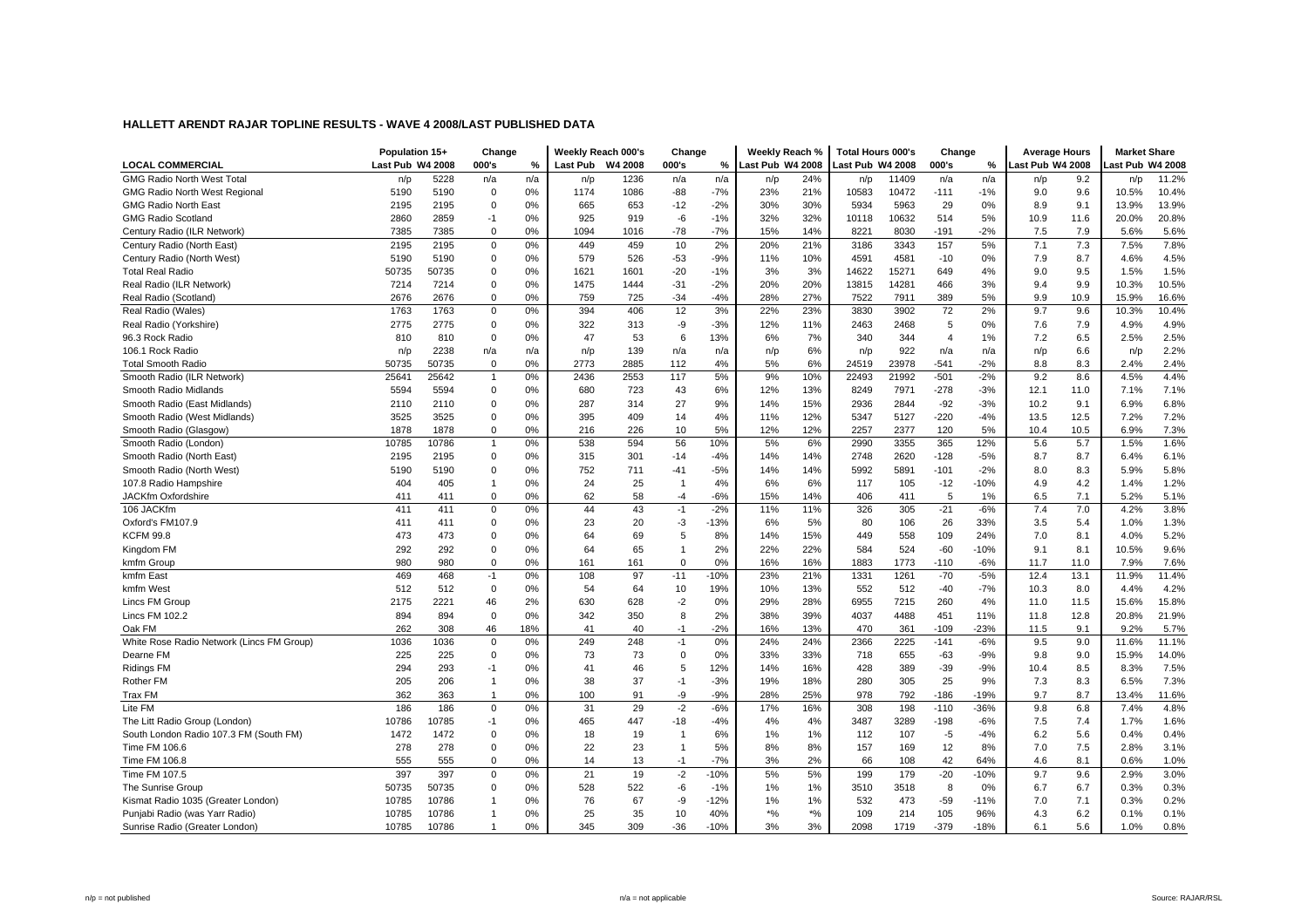|                                           | Population 15+   |       | Change         |     |          | Weekly Reach 000's | Change         |        | Weekly Reach %   |       | <b>Total Hours 000's</b> |       | Change         |        | <b>Average Hours</b> |      | <b>Market Share</b> |       |
|-------------------------------------------|------------------|-------|----------------|-----|----------|--------------------|----------------|--------|------------------|-------|--------------------------|-------|----------------|--------|----------------------|------|---------------------|-------|
| <b>LOCAL COMMERCIAL</b>                   | Last Pub W4 2008 |       | 000's          | %   | Last Pub | W4 2008            | 000's          | %      | Last Pub W4 2008 |       | Last Pub W4 2008         |       | 000's          | %      | Last Pub W4 2008     |      | ast Pub W4 2008     |       |
| <b>GMG Radio North West Total</b>         | n/p              | 5228  | n/a            | n/a | n/p      | 1236               | n/a            | n/a    | n/p              | 24%   | n/p                      | 11409 | n/a            | n/a    | n/p                  | 9.2  | n/p                 | 11.2% |
| <b>GMG Radio North West Regional</b>      | 5190             | 5190  | $\mathbf 0$    | 0%  | 1174     | 1086               | $-88$          | $-7%$  | 23%              | 21%   | 10583                    | 10472 | $-111$         | $-1%$  | 9.0                  | 9.6  | 10.5%               | 10.4% |
| <b>GMG Radio North East</b>               | 2195             | 2195  | $\mathbf 0$    | 0%  | 665      | 653                | $-12$          | $-2%$  | 30%              | 30%   | 5934                     | 5963  | 29             | 0%     | 8.9                  | 9.1  | 13.9%               | 13.9% |
| <b>GMG Radio Scotland</b>                 | 2860             | 2859  | -1             | 0%  | 925      | 919                | $-6$           | $-1%$  | 32%              | 32%   | 10118                    | 10632 | 514            | 5%     | 10.9                 | 11.6 | 20.0%               | 20.8% |
| Century Radio (ILR Network)               | 7385             | 7385  | $\mathbf 0$    | 0%  | 1094     | 1016               | $-78$          | $-7%$  | 15%              | 14%   | 8221                     | 8030  | $-191$         | $-2%$  | 7.5                  | 7.9  | 5.6%                | 5.6%  |
| Century Radio (North East)                | 2195             | 2195  | $\mathbf 0$    | 0%  | 449      | 459                | 10             | 2%     | 20%              | 21%   | 3186                     | 3343  | 157            | 5%     | 7.1                  | 7.3  | 7.5%                | 7.8%  |
| Century Radio (North West)                | 5190             | 5190  | $\mathbf 0$    | 0%  | 579      | 526                | $-53$          | $-9%$  | 11%              | 10%   | 4591                     | 4581  | $-10$          | 0%     | 7.9                  | 8.7  | 4.6%                | 4.5%  |
| <b>Total Real Radio</b>                   | 50735            | 50735 | $\mathbf 0$    | 0%  | 1621     | 1601               | $-20$          | $-1%$  | 3%               | 3%    | 14622                    | 15271 | 649            | 4%     | 9.0                  | 9.5  | 1.5%                | 1.5%  |
| Real Radio (ILR Network)                  | 7214             | 7214  | $\mathbf 0$    | 0%  | 1475     | 1444               | $-31$          | $-2%$  | 20%              | 20%   | 13815                    | 14281 | 466            | 3%     | 9.4                  | 9.9  | 10.3%               | 10.5% |
| Real Radio (Scotland)                     | 2676             | 2676  | $\mathbf 0$    | 0%  | 759      | 725                | $-34$          | $-4%$  | 28%              | 27%   | 7522                     | 7911  | 389            | 5%     | 9.9                  | 10.9 | 15.9%               | 16.6% |
| Real Radio (Wales)                        | 1763             | 1763  | $\mathsf 0$    | 0%  | 394      | 406                | 12             | 3%     | 22%              | 23%   | 3830                     | 3902  | 72             | 2%     | 9.7                  | 9.6  | 10.3%               | 10.4% |
| Real Radio (Yorkshire)                    | 2775             | 2775  | $\mathbf 0$    | 0%  | 322      | 313                | -9             | $-3%$  | 12%              | 11%   | 2463                     | 2468  | 5              | 0%     | 7.6                  | 7.9  | 4.9%                | 4.9%  |
| 96.3 Rock Radio                           | 810              | 810   | $\mathbf 0$    | 0%  | 47       | 53                 | 6              | 13%    | 6%               | 7%    | 340                      | 344   | $\overline{4}$ | 1%     | 7.2                  | 6.5  | 2.5%                | 2.5%  |
| 106.1 Rock Radio                          | n/p              | 2238  | n/a            | n/a | n/p      | 139                | n/a            | n/a    | n/p              | 6%    | n/p                      | 922   | n/a            | n/a    | n/p                  | 6.6  | n/p                 | 2.2%  |
| <b>Total Smooth Radio</b>                 | 50735            | 50735 | $\mathbf 0$    | 0%  | 2773     | 2885               | 112            | 4%     | 5%               | 6%    | 24519                    | 23978 | $-541$         | $-2%$  | 8.8                  | 8.3  | 2.4%                | 2.4%  |
| Smooth Radio (ILR Network)                | 25641            | 25642 | $\overline{1}$ | 0%  | 2436     | 2553               | 117            | 5%     | 9%               | 10%   | 22493                    | 21992 | $-501$         | $-2%$  | 9.2                  | 8.6  | 4.5%                | 4.4%  |
| Smooth Radio Midlands                     | 5594             | 5594  | $\mathbf 0$    | 0%  | 680      | 723                | 43             | 6%     | 12%              | 13%   | 8249                     | 7971  | $-278$         | $-3%$  | 12.1                 | 11.0 | 7.1%                | 7.1%  |
| Smooth Radio (East Midlands)              | 2110             | 2110  | $\mathbf 0$    | 0%  | 287      | 314                | 27             | 9%     | 14%              | 15%   | 2936                     | 2844  | $-92$          | $-3%$  | 10.2                 | 9.1  | 6.9%                | 6.8%  |
| Smooth Radio (West Midlands)              | 3525             | 3525  | $\mathbf 0$    | 0%  | 395      | 409                | 14             | 4%     | 11%              | 12%   | 5347                     | 5127  | $-220$         | $-4%$  | 13.5                 | 12.5 | 7.2%                | 7.2%  |
| Smooth Radio (Glasgow)                    | 1878             | 1878  | $\mathbf 0$    | 0%  | 216      | 226                | 10             | 5%     | 12%              | 12%   | 2257                     | 2377  | 120            | 5%     | 10.4                 | 10.5 | 6.9%                | 7.3%  |
| Smooth Radio (London)                     | 10785            | 10786 | $\mathbf{1}$   | 0%  | 538      | 594                | 56             | 10%    | 5%               | 6%    | 2990                     | 3355  | 365            | 12%    | 5.6                  | 5.7  | 1.5%                | 1.6%  |
| Smooth Radio (North East)                 | 2195             | 2195  | $\mathbf{0}$   | 0%  | 315      | 301                | $-14$          | $-4%$  | 14%              | 14%   | 2748                     | 2620  | $-128$         | $-5%$  | 8.7                  | 8.7  | 6.4%                | 6.1%  |
| Smooth Radio (North West)                 | 5190             | 5190  | $\overline{0}$ | 0%  | 752      | 711                | $-41$          | $-5%$  | 14%              | 14%   | 5992                     | 5891  | $-101$         | $-2%$  | 8.0                  | 8.3  | 5.9%                | 5.8%  |
| 107.8 Radio Hampshire                     | 404              | 405   | $\overline{1}$ | 0%  | 24       | 25                 | $\overline{1}$ | 4%     | 6%               | 6%    | 117                      | 105   | $-12$          | $-10%$ | 4.9                  | 4.2  | 1.4%                | 1.2%  |
| JACKfm Oxfordshire                        | 411              | 411   | $\mathsf 0$    | 0%  | 62       | 58                 | $-4$           | $-6%$  | 15%              | 14%   | 406                      | 411   | 5              | 1%     | 6.5                  | 7.1  | 5.2%                | 5.1%  |
| 106 JACKfm                                | 411              | 411   | $\mathbf 0$    | 0%  | 44       | 43                 | $-1$           | $-2%$  | 11%              | 11%   | 326                      | 305   | $-21$          | $-6%$  | 7.4                  | 7.0  | 4.2%                | 3.8%  |
| Oxford's FM107.9                          | 411              | 411   | $\mathbf 0$    | 0%  | 23       | 20                 | $-3$           | $-13%$ | 6%               | 5%    | 80                       | 106   | 26             | 33%    | 3.5                  | 5.4  | 1.0%                | 1.3%  |
| <b>KCFM 99.8</b>                          | 473              | 473   | $\mathbf 0$    | 0%  | 64       | 69                 | 5              | 8%     | 14%              | 15%   | 449                      | 558   | 109            | 24%    | 7.0                  | 8.1  | 4.0%                | 5.2%  |
| Kingdom FM                                | 292              | 292   | $\mathbf 0$    | 0%  | 64       | 65                 | $\overline{1}$ | 2%     | 22%              | 22%   | 584                      | 524   | $-60$          | $-10%$ | 9.1                  | 8.1  | 10.5%               | 9.6%  |
| kmfm Group                                | 980              | 980   | $\mathsf 0$    | 0%  | 161      | 161                | $\mathbf 0$    | 0%     | 16%              | 16%   | 1883                     | 1773  | $-110$         | $-6%$  | 11.7                 | 11.0 | 7.9%                | 7.6%  |
| kmfm East                                 | 469              | 468   | $-1$           | 0%  | 108      | 97                 | $-11$          | $-10%$ | 23%              | 21%   | 1331                     | 1261  | $-70$          | $-5%$  | 12.4                 | 13.1 | 11.9%               | 11.4% |
| kmfm West                                 | 512              | 512   | $\mathbf 0$    | 0%  | 54       | 64                 | 10             | 19%    | 10%              | 13%   | 552                      | 512   | $-40$          | $-7%$  | 10.3                 | 8.0  | 4.4%                | 4.2%  |
| Lincs FM Group                            | 2175             | 2221  | 46             | 2%  | 630      | 628                | $-2$           | 0%     | 29%              | 28%   | 6955                     | 7215  | 260            | 4%     | 11.0                 | 11.5 | 15.6%               | 15.8% |
| <b>Lincs FM 102.2</b>                     | 894              | 894   | $\mathsf 0$    | 0%  | 342      | 350                | 8              | 2%     | 38%              | 39%   | 4037                     | 4488  | 451            | 11%    | 11.8                 | 12.8 | 20.8%               | 21.9% |
| Oak FM                                    | 262              | 308   | 46             | 18% | 41       | 40                 | $-1$           | $-2%$  | 16%              | 13%   | 470                      | 361   | $-109$         | $-23%$ | 11.5                 | 9.1  | 9.2%                | 5.7%  |
| White Rose Radio Network (Lincs FM Group) | 1036             | 1036  | $\mathbf{0}$   | 0%  | 249      | 248                | $-1$           | 0%     | 24%              | 24%   | 2366                     | 2225  | $-141$         | $-6%$  | 9.5                  | 9.0  | 11.6%               | 11.1% |
| Dearne FM                                 | 225              | 225   | $\mathbf 0$    | 0%  | 73       | 73                 | $\mathbf 0$    | 0%     | 33%              | 33%   | 718                      | 655   | $-63$          | $-9%$  | 9.8                  | 9.0  | 15.9%               | 14.0% |
| <b>Ridings FM</b>                         | 294              | 293   | $-1$           | 0%  | 41       | 46                 | 5              | 12%    | 14%              | 16%   | 428                      | 389   | $-39$          | $-9%$  | 10.4                 | 8.5  | 8.3%                | 7.5%  |
| <b>Rother FM</b>                          | 205              | 206   | $\overline{1}$ | 0%  | 38       | 37                 | $-1$           | $-3%$  | 19%              | 18%   | 280                      | 305   | 25             | 9%     | 7.3                  | 8.3  | 6.5%                | 7.3%  |
| Trax FM                                   | 362              | 363   | $\overline{1}$ | 0%  | 100      | 91                 | -9             | $-9%$  | 28%              | 25%   | 978                      | 792   | $-186$         | $-19%$ | 9.7                  | 8.7  | 13.4%               | 11.6% |
| Lite FM                                   | 186              | 186   | $\mathsf 0$    | 0%  | 31       | 29                 | $-2$           | $-6%$  | 17%              | 16%   | 308                      | 198   | $-110$         | $-36%$ | 9.8                  | 6.8  | 7.4%                | 4.8%  |
| The Litt Radio Group (London)             | 10786            | 10785 | $-1$           | 0%  | 465      | 447                | $-18$          | $-4%$  | 4%               | 4%    | 3487                     | 3289  | $-198$         | $-6%$  | 7.5                  | 7.4  | 1.7%                | 1.6%  |
| South London Radio 107.3 FM (South FM)    | 1472             | 1472  | $\mathbf 0$    | 0%  | 18       | 19                 | $\overline{1}$ | 6%     | 1%               | 1%    | 112                      | 107   | $-5$           | $-4%$  | 6.2                  | 5.6  | 0.4%                | 0.4%  |
| Time FM 106.6                             | 278              | 278   | $\mathbf 0$    | 0%  | 22       | 23                 | $\overline{1}$ | 5%     | 8%               | 8%    | 157                      | 169   | 12             | 8%     | 7.0                  | 7.5  | 2.8%                | 3.1%  |
| Time FM 106.8                             | 555              | 555   | $\mathbf 0$    | 0%  | 14       | 13                 | $-1$           | $-7%$  | 3%               | 2%    | 66                       | 108   | 42             | 64%    | 4.6                  | 8.1  | 0.6%                | 1.0%  |
| Time FM 107.5                             | 397              | 397   | $\mathbf 0$    | 0%  | 21       | 19                 | $-2$           | $-10%$ | 5%               | 5%    | 199                      | 179   | $-20$          | $-10%$ | 9.7                  | 9.6  | 2.9%                | 3.0%  |
| The Sunrise Group                         | 50735            | 50735 | $\mathbf 0$    | 0%  | 528      | 522                | $-6$           | $-1%$  | 1%               | 1%    | 3510                     | 3518  | 8              | 0%     | 6.7                  | 6.7  | 0.3%                | 0.3%  |
| Kismat Radio 1035 (Greater London)        | 10785            | 10786 | $\overline{1}$ | 0%  | 76       | 67                 | -9             | $-12%$ | 1%               | 1%    | 532                      | 473   | $-59$          | $-11%$ | 7.0                  | 7.1  | 0.3%                | 0.2%  |
| Punjabi Radio (was Yarr Radio)            | 10785            | 10786 | $\mathbf{1}$   | 0%  | 25       | 35                 | 10             | 40%    | $*_{\%}$         | $*$ % | 109                      | 214   | 105            | 96%    | 4.3                  | 6.2  | 0.1%                | 0.1%  |
| Sunrise Radio (Greater London)            | 10785            | 10786 | $\mathbf{1}$   | 0%  | 345      | 309                | $-36$          | $-10%$ | 3%               | 3%    | 2098                     | 1719  | -379           | $-18%$ | 6.1                  | 5.6  | 1.0%                | 0.8%  |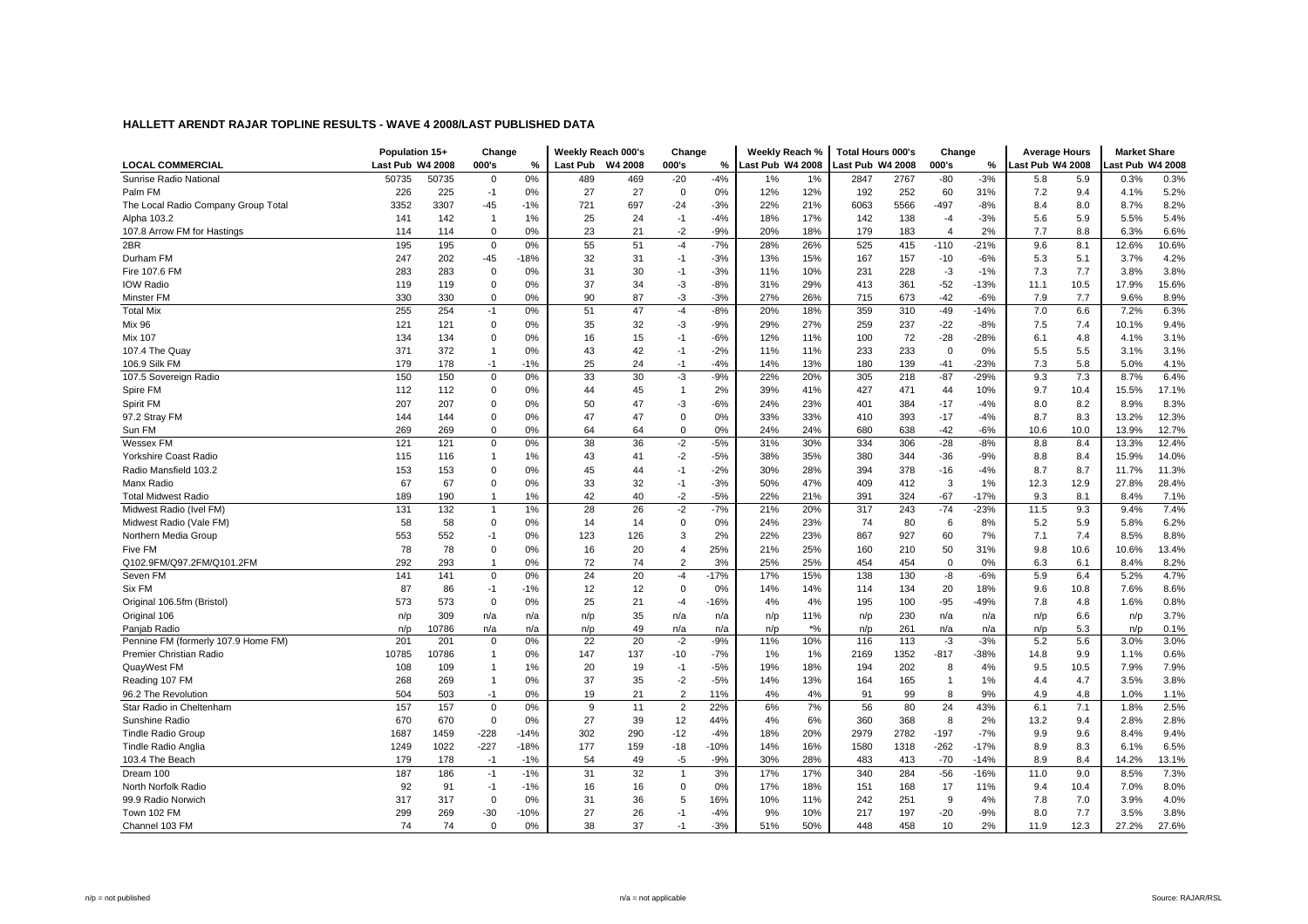|                                     | Population 15+   |       | Change         |        |          | Weekly Reach 000's | Change         |        | Weekly Reach %  |       | <b>Total Hours 000's</b> |      | Change         |        | <b>Average Hours</b> |      | <b>Market Share</b> |       |
|-------------------------------------|------------------|-------|----------------|--------|----------|--------------------|----------------|--------|-----------------|-------|--------------------------|------|----------------|--------|----------------------|------|---------------------|-------|
| <b>LOCAL COMMERCIAL</b>             | Last Pub W4 2008 |       | 000's          | %      | Last Pub | W4 2008            | 000's          | %      | ast Pub W4 2008 |       | Last Pub W4 2008         |      | 000's          | %      | Last Pub W4 2008     |      | ast Pub W4 2008     |       |
| Sunrise Radio National              | 50735            | 50735 | $\mathbf 0$    | 0%     | 489      | 469                | $-20$          | $-4%$  | 1%              | 1%    | 2847                     | 2767 | $-80$          | $-3%$  | 5.8                  | 5.9  | 0.3%                | 0.3%  |
| Palm FM                             | 226              | 225   | $-1$           | 0%     | 27       | 27                 | $\mathbf 0$    | 0%     | 12%             | 12%   | 192                      | 252  | 60             | 31%    | 7.2                  | 9.4  | 4.1%                | 5.2%  |
| The Local Radio Company Group Total | 3352             | 3307  | -45            | $-1%$  | 721      | 697                | $-24$          | $-3%$  | 22%             | 21%   | 6063                     | 5566 | $-497$         | $-8%$  | 8.4                  | 8.0  | 8.7%                | 8.2%  |
| Alpha 103.2                         | 141              | 142   | $\overline{1}$ | 1%     | 25       | 24                 | $-1$           | $-4%$  | 18%             | 17%   | 142                      | 138  | $-4$           | $-3%$  | 5.6                  | 5.9  | 5.5%                | 5.4%  |
| 107.8 Arrow FM for Hastings         | 114              | 114   | $\mathbf 0$    | 0%     | 23       | 21                 | $-2$           | $-9%$  | 20%             | 18%   | 179                      | 183  | $\overline{4}$ | 2%     | 7.7                  | 8.8  | 6.3%                | 6.6%  |
| 2BR                                 | 195              | 195   | $\mathbf 0$    | 0%     | 55       | 51                 | $-4$           | $-7%$  | 28%             | 26%   | 525                      | 415  | $-110$         | $-21%$ | 9.6                  | 8.1  | 12.6%               | 10.6% |
| Durham FM                           | 247              | 202   | $-45$          | $-18%$ | 32       | 31                 | -1             | $-3%$  | 13%             | 15%   | 167                      | 157  | $-10$          | $-6%$  | 5.3                  | 5.1  | 3.7%                | 4.2%  |
| Fire 107.6 FM                       | 283              | 283   | $\mathbf 0$    | 0%     | 31       | 30                 | -1             | $-3%$  | 11%             | 10%   | 231                      | 228  | $-3$           | $-1%$  | 7.3                  | 7.7  | 3.8%                | 3.8%  |
| <b>IOW Radio</b>                    | 119              | 119   | $\mathbf 0$    | 0%     | 37       | 34                 | -3             | $-8%$  | 31%             | 29%   | 413                      | 361  | $-52$          | $-13%$ | 11.1                 | 10.5 | 17.9%               | 15.6% |
| Minster FM                          | 330              | 330   | $\mathbf 0$    | 0%     | 90       | 87                 | $-3$           | $-3%$  | 27%             | 26%   | 715                      | 673  | $-42$          | $-6%$  | 7.9                  | 7.7  | 9.6%                | 8.9%  |
| <b>Total Mix</b>                    | 255              | 254   | $-1$           | 0%     | 51       | 47                 | $-4$           | $-8%$  | 20%             | 18%   | 359                      | 310  | $-49$          | $-14%$ | 7.0                  | 6.6  | 7.2%                | 6.3%  |
| <b>Mix 96</b>                       | 121              | 121   | 0              | 0%     | 35       | 32                 | -3             | $-9%$  | 29%             | 27%   | 259                      | 237  | $-22$          | $-8%$  | 7.5                  | 7.4  | 10.1%               | 9.4%  |
| <b>Mix 107</b>                      | 134              | 134   | $\Omega$       | 0%     | 16       | 15                 | $-1$           | $-6%$  | 12%             | 11%   | 100                      | 72   | $-28$          | $-28%$ | 6.1                  | 4.8  | 4.1%                | 3.1%  |
| 107.4 The Quay                      | 371              | 372   | $\mathbf{1}$   | 0%     | 43       | 42                 | $-1$           | $-2%$  | 11%             | 11%   | 233                      | 233  | $\mathbf 0$    | 0%     | 5.5                  | 5.5  | 3.1%                | 3.1%  |
| 106.9 Silk FM                       | 179              | 178   | $-1$           | $-1%$  | 25       | 24                 | $-1$           | $-4%$  | 14%             | 13%   | 180                      | 139  | $-41$          | $-23%$ | 7.3                  | 5.8  | 5.0%                | 4.1%  |
| 107.5 Sovereign Radio               | 150              | 150   | 0              | 0%     | 33       | 30                 | -3             | $-9%$  | 22%             | 20%   | 305                      | 218  | $-87$          | $-29%$ | 9.3                  | 7.3  | 8.7%                | 6.4%  |
| Spire FM                            | 112              | 112   | 0              | 0%     | 44       | 45                 | $\overline{1}$ | 2%     | 39%             | 41%   | 427                      | 471  | 44             | 10%    | 9.7                  | 10.4 | 15.5%               | 17.1% |
| Spirit FM                           | 207              | 207   | $\Omega$       | 0%     | 50       | 47                 | $-3$           | $-6%$  | 24%             | 23%   | 401                      | 384  | $-17$          | $-4%$  | 8.0                  | 8.2  | 8.9%                | 8.3%  |
| 97.2 Stray FM                       | 144              | 144   | 0              | 0%     | 47       | 47                 | $\mathbf 0$    | 0%     | 33%             | 33%   | 410                      | 393  | $-17$          | $-4%$  | 8.7                  | 8.3  | 13.2%               | 12.3% |
| Sun FM                              | 269              | 269   | 0              | 0%     | 64       | 64                 | $\mathbf 0$    | 0%     | 24%             | 24%   | 680                      | 638  | $-42$          | $-6%$  | 10.6                 | 10.0 | 13.9%               | 12.7% |
| Wessex FM                           | 121              | 121   | 0              | 0%     | 38       | 36                 | $-2$           | $-5%$  | 31%             | 30%   | 334                      | 306  | $-28$          | $-8%$  | 8.8                  | 8.4  | 13.3%               | 12.4% |
| <b>Yorkshire Coast Radio</b>        | 115              | 116   | 1              | 1%     | 43       | 41                 | $-2$           | $-5%$  | 38%             | 35%   | 380                      | 344  | $-36$          | $-9%$  | 8.8                  | 8.4  | 15.9%               | 14.0% |
| Radio Mansfield 103.2               | 153              | 153   | $\Omega$       | 0%     | 45       | 44                 | $-1$           | $-2%$  | 30%             | 28%   | 394                      | 378  | $-16$          | $-4%$  | 8.7                  | 8.7  | 11.7%               | 11.3% |
| Manx Radio                          | 67               | 67    | 0              | 0%     | 33       | 32                 | $-1$           | $-3%$  | 50%             | 47%   | 409                      | 412  | 3              | 1%     | 12.3                 | 12.9 | 27.8%               | 28.4% |
| <b>Total Midwest Radio</b>          | 189              | 190   | $\mathbf{1}$   | 1%     | 42       | 40                 | $-2$           | $-5%$  | 22%             | 21%   | 391                      | 324  | $-67$          | $-17%$ | 9.3                  | 8.1  | 8.4%                | 7.1%  |
| Midwest Radio (Ivel FM)             | 131              | 132   | $\mathbf{1}$   | 1%     | 28       | 26                 | $-2$           | $-7%$  | 21%             | 20%   | 317                      | 243  | $-74$          | $-23%$ | 11.5                 | 9.3  | 9.4%                | 7.4%  |
| Midwest Radio (Vale FM)             | 58               | 58    | $\mathbf 0$    | 0%     | 14       | 14                 | $\mathbf 0$    | 0%     | 24%             | 23%   | 74                       | 80   | 6              | 8%     | 5.2                  | 5.9  | 5.8%                | 6.2%  |
| Northern Media Group                | 553              | 552   | $-1$           | 0%     | 123      | 126                | 3              | 2%     | 22%             | 23%   | 867                      | 927  | 60             | 7%     | 7.1                  | 7.4  | 8.5%                | 8.8%  |
| Five FM                             | 78               | 78    | $\Omega$       | 0%     | 16       | 20                 | $\overline{4}$ | 25%    | 21%             | 25%   | 160                      | 210  | 50             | 31%    | 9.8                  | 10.6 | 10.6%               | 13.4% |
| Q102.9FM/Q97.2FM/Q101.2FM           | 292              | 293   | $\mathbf{1}$   | 0%     | 72       | 74                 | $\overline{2}$ | 3%     | 25%             | 25%   | 454                      | 454  | $\mathbf 0$    | 0%     | 6.3                  | 6.1  | 8.4%                | 8.2%  |
| Seven FM                            | 141              | 141   | 0              | 0%     | 24       | 20                 | $-4$           | $-17%$ | 17%             | 15%   | 138                      | 130  | -8             | $-6%$  | 5.9                  | 6.4  | 5.2%                | 4.7%  |
| Six FM                              | 87               | 86    | $-1$           | $-1%$  | 12       | 12                 | $\mathbf 0$    | 0%     | 14%             | 14%   | 114                      | 134  | 20             | 18%    | 9.6                  | 10.8 | 7.6%                | 8.6%  |
| Original 106.5fm (Bristol)          | 573              | 573   | $\mathbf 0$    | 0%     | 25       | 21                 | $-4$           | $-16%$ | 4%              | 4%    | 195                      | 100  | $-95$          | $-49%$ | 7.8                  | 4.8  | 1.6%                | 0.8%  |
| Original 106                        | n/p              | 309   | n/a            | n/a    | n/p      | 35                 | n/a            | n/a    | n/p             | 11%   | n/p                      | 230  | n/a            | n/a    | n/p                  | 6.6  | n/p                 | 3.7%  |
| Panjab Radio                        | n/p              | 10786 | n/a            | n/a    | n/p      | 49                 | n/a            | n/a    | n/p             | $*$ % | n/p                      | 261  | n/a            | n/a    | n/p                  | 5.3  | n/p                 | 0.1%  |
| Pennine FM (formerly 107.9 Home FM) | 201              | 201   | $\mathbf 0$    | 0%     | 22       | 20                 | $-2$           | $-9%$  | 11%             | 10%   | 116                      | 113  | $-3$           | $-3%$  | 5.2                  | 5.6  | 3.0%                | 3.0%  |
| Premier Christian Radio             | 10785            | 10786 | $\overline{1}$ | 0%     | 147      | 137                | $-10$          | $-7%$  | 1%              | 1%    | 2169                     | 1352 | $-817$         | $-38%$ | 14.8                 | 9.9  | 1.1%                | 0.6%  |
| QuayWest FM                         | 108              | 109   | $\overline{1}$ | 1%     | 20       | 19                 | $-1$           | $-5%$  | 19%             | 18%   | 194                      | 202  | 8              | 4%     | 9.5                  | 10.5 | 7.9%                | 7.9%  |
| Reading 107 FM                      | 268              | 269   | $\overline{1}$ | 0%     | 37       | 35                 | $-2$           | $-5%$  | 14%             | 13%   | 164                      | 165  | $\mathbf{1}$   | 1%     | 4.4                  | 4.7  | 3.5%                | 3.8%  |
| 96.2 The Revolution                 | 504              | 503   | $-1$           | 0%     | 19       | 21                 | $\overline{2}$ | 11%    | 4%              | 4%    | 91                       | 99   | 8              | 9%     | 4.9                  | 4.8  | 1.0%                | 1.1%  |
| Star Radio in Cheltenham            | 157              | 157   | $\mathbf{0}$   | 0%     | 9        | 11                 | 2              | 22%    | 6%              | 7%    | 56                       | 80   | 24             | 43%    | 6.1                  | 7.1  | 1.8%                | 2.5%  |
| Sunshine Radio                      | 670              | 670   | $\mathbf 0$    | 0%     | 27       | 39                 | 12             | 44%    | 4%              | 6%    | 360                      | 368  | 8              | 2%     | 13.2                 | 9.4  | 2.8%                | 2.8%  |
| <b>Tindle Radio Group</b>           | 1687             | 1459  | $-228$         | $-14%$ | 302      | 290                | $-12$          | $-4%$  | 18%             | 20%   | 2979                     | 2782 | $-197$         | $-7%$  | 9.9                  | 9.6  | 8.4%                | 9.4%  |
| Tindle Radio Anglia                 | 1249             | 1022  | $-227$         | $-18%$ | 177      | 159                | $-18$          | $-10%$ | 14%             | 16%   | 1580                     | 1318 | $-262$         | $-17%$ | 8.9                  | 8.3  | 6.1%                | 6.5%  |
| 103.4 The Beach                     | 179              | 178   | $-1$           | $-1%$  | 54       | 49                 | -5             | $-9%$  | 30%             | 28%   | 483                      | 413  | $-70$          | $-14%$ | 8.9                  | 8.4  | 14.2%               | 13.1% |
| Dream 100                           | 187              | 186   | $-1$           | $-1%$  | 31       | 32                 | $\overline{1}$ | 3%     | 17%             | 17%   | 340                      | 284  | $-56$          | -16%   | 11.0                 | 9.0  | 8.5%                | 7.3%  |
| North Norfolk Radio                 | 92               | 91    | $-1$           | $-1%$  | 16       | 16                 | $\mathbf 0$    | 0%     | 17%             | 18%   | 151                      | 168  | 17             | 11%    | 9.4                  | 10.4 | 7.0%                | 8.0%  |
| 99.9 Radio Norwich                  | 317              | 317   | $\mathbf 0$    | 0%     | 31       | 36                 | 5              | 16%    | 10%             | 11%   | 242                      | 251  | 9              | 4%     | 7.8                  | 7.0  | 3.9%                | 4.0%  |
| Town 102 FM                         | 299              | 269   | $-30$          | $-10%$ | 27       | 26                 | -1             | $-4%$  | 9%              | 10%   | 217                      | 197  | $-20$          | $-9%$  | 8.0                  | 7.7  | 3.5%                | 3.8%  |
| Channel 103 FM                      | 74               | 74    | $\mathbf 0$    | 0%     | 38       | 37                 | $-1$           | $-3%$  | 51%             | 50%   | 448                      | 458  | 10             | 2%     | 11.9                 | 12.3 | 27.2%               | 27.6% |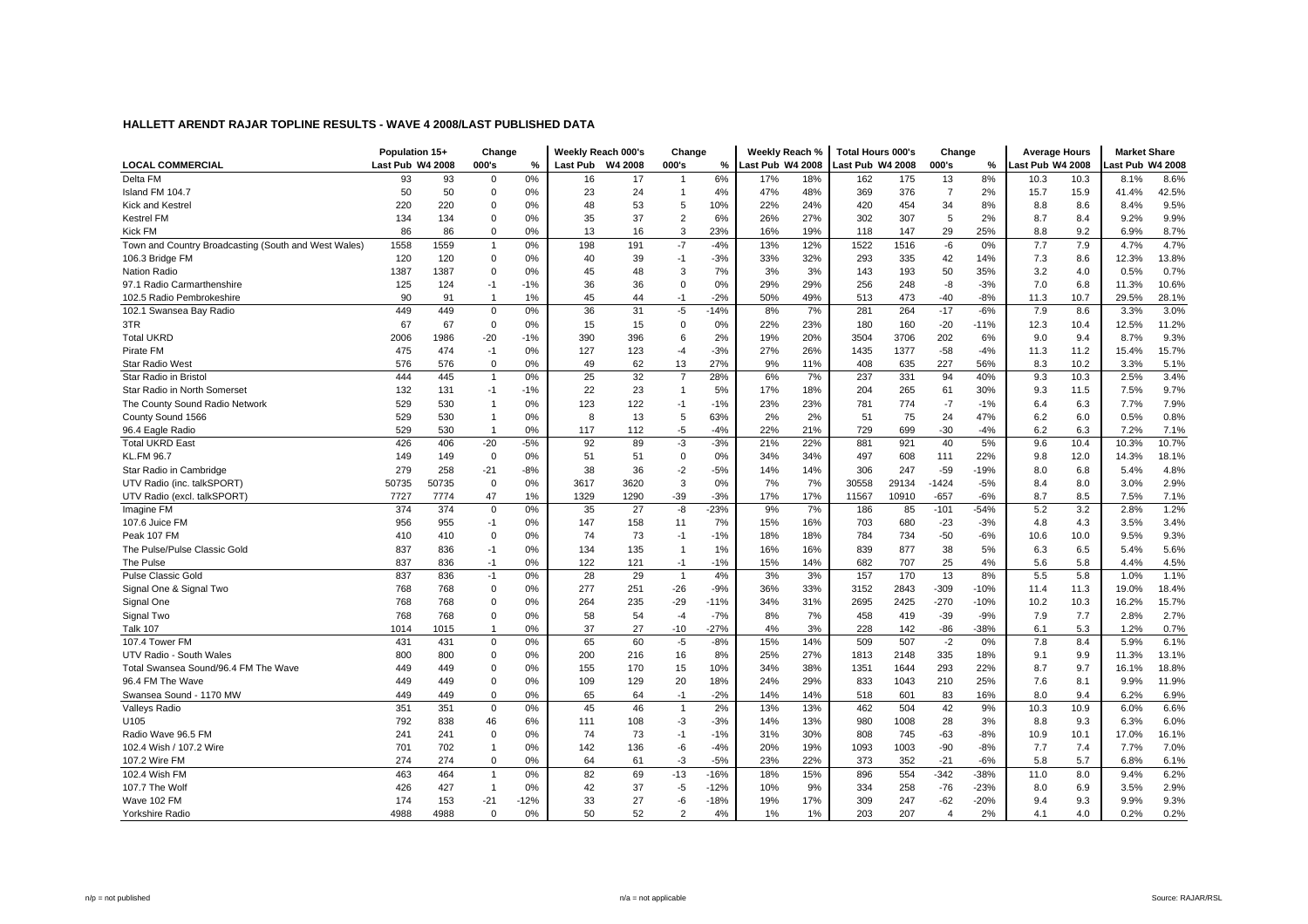|                                                      | Population 15+   |       | Change         |        |      | Weekly Reach 000's | Change         |        | Weekly Reach %   |     | <b>Total Hours 000's</b> |       | Change                |        | <b>Average Hours</b> |      | <b>Market Share</b> |       |
|------------------------------------------------------|------------------|-------|----------------|--------|------|--------------------|----------------|--------|------------------|-----|--------------------------|-------|-----------------------|--------|----------------------|------|---------------------|-------|
| <b>LOCAL COMMERCIAL</b>                              | Last Pub W4 2008 |       | 000's          | %      |      | Last Pub W4 2008   | 000's          | %      | Last Pub W4 2008 |     | Last Pub W4 2008         |       | 000's                 | %      | ast Pub W4 2008      |      | ast Pub W4 2008     |       |
| Delta FM                                             | 93               | 93    | 0              | 0%     | 16   | 17                 | -1             | 6%     | 17%              | 18% | 162                      | 175   | 13                    | 8%     | 10.3                 | 10.3 | 8.1%                | 8.6%  |
| Island FM 104.7                                      | 50               | 50    | $\Omega$       | 0%     | 23   | 24                 | $\mathbf{1}$   | 4%     | 47%              | 48% | 369                      | 376   | $\overline{7}$        | 2%     | 15.7                 | 15.9 | 41.4%               | 42.5% |
| Kick and Kestrel                                     | 220              | 220   | $\Omega$       | 0%     | 48   | 53                 | 5              | 10%    | 22%              | 24% | 420                      | 454   | 34                    | 8%     | 8.8                  | 8.6  | 8.4%                | 9.5%  |
| <b>Kestrel FM</b>                                    | 134              | 134   | 0              | 0%     | 35   | 37                 | $\overline{2}$ | 6%     | 26%              | 27% | 302                      | 307   | 5                     | 2%     | 8.7                  | 8.4  | 9.2%                | 9.9%  |
| Kick FM                                              | 86               | 86    | 0              | 0%     | 13   | 16                 | 3              | 23%    | 16%              | 19% | 118                      | 147   | 29                    | 25%    | 8.8                  | 9.2  | 6.9%                | 8.7%  |
| Town and Country Broadcasting (South and West Wales) | 1558             | 1559  | $\mathbf{1}$   | 0%     | 198  | 191                | $-7$           | $-4%$  | 13%              | 12% | 1522                     | 1516  | $-6$                  | 0%     | 7.7                  | 7.9  | 4.7%                | 4.7%  |
| 106.3 Bridge FM                                      | 120              | 120   | $\mathbf 0$    | 0%     | 40   | 39                 | $-1$           | $-3%$  | 33%              | 32% | 293                      | 335   | 42                    | 14%    | 7.3                  | 8.6  | 12.3%               | 13.8% |
| Nation Radio                                         | 1387             | 1387  | $\Omega$       | 0%     | 45   | 48                 | 3              | 7%     | 3%               | 3%  | 143                      | 193   | 50                    | 35%    | 3.2                  | 4.0  | 0.5%                | 0.7%  |
| 97.1 Radio Carmarthenshire                           | 125              | 124   | $-1$           | $-1%$  | 36   | 36                 | $\mathbf 0$    | 0%     | 29%              | 29% | 256                      | 248   | -8                    | $-3%$  | 7.0                  | 6.8  | 11.3%               | 10.6% |
| 102.5 Radio Pembrokeshire                            | 90               | 91    | $\overline{1}$ | 1%     | 45   | 44                 | $-1$           | $-2%$  | 50%              | 49% | 513                      | 473   | $-40$                 | $-8%$  | 11.3                 | 10.7 | 29.5%               | 28.1% |
| 102.1 Swansea Bay Radio                              | 449              | 449   | $\mathbf 0$    | 0%     | 36   | 31                 | $-5$           | $-14%$ | 8%               | 7%  | 281                      | 264   | $-17$                 | $-6%$  | 7.9                  | 8.6  | 3.3%                | 3.0%  |
| 3TR                                                  | 67               | 67    | $\mathbf 0$    | 0%     | 15   | 15                 | $\mathbf 0$    | 0%     | 22%              | 23% | 180                      | 160   | $-20$                 | $-11%$ | 12.3                 | 10.4 | 12.5%               | 11.2% |
| <b>Total UKRD</b>                                    | 2006             | 1986  | $-20$          | $-1%$  | 390  | 396                | 6              | 2%     | 19%              | 20% | 3504                     | 3706  | 202                   | 6%     | 9.0                  | 9.4  | 8.7%                | 9.3%  |
| Pirate FM                                            | 475              | 474   | $-1$           | 0%     | 127  | 123                | $-4$           | $-3%$  | 27%              | 26% | 1435                     | 1377  | $-58$                 | $-4%$  | 11.3                 | 11.2 | 15.4%               | 15.7% |
| <b>Star Radio West</b>                               | 576              | 576   | 0              | 0%     | 49   | 62                 | 13             | 27%    | 9%               | 11% | 408                      | 635   | 227                   | 56%    | 8.3                  | 10.2 | 3.3%                | 5.1%  |
| Star Radio in Bristol                                | 444              | 445   | $\overline{1}$ | 0%     | 25   | 32                 | $\overline{7}$ | 28%    | 6%               | 7%  | 237                      | 331   | 94                    | 40%    | 9.3                  | 10.3 | 2.5%                | 3.4%  |
| Star Radio in North Somerset                         | 132              | 131   | $-1$           | $-1%$  | 22   | 23                 | $\overline{1}$ | 5%     | 17%              | 18% | 204                      | 265   | 61                    | 30%    | 9.3                  | 11.5 | 7.5%                | 9.7%  |
| The County Sound Radio Network                       | 529              | 530   | $\overline{1}$ | 0%     | 123  | 122                | $-1$           | $-1%$  | 23%              | 23% | 781                      | 774   | $-7$                  | $-1%$  | 6.4                  | 6.3  | 7.7%                | 7.9%  |
| County Sound 1566                                    | 529              | 530   | $\overline{1}$ | 0%     | 8    | 13                 | 5              | 63%    | 2%               | 2%  | 51                       | 75    | 24                    | 47%    | 6.2                  | 6.0  | 0.5%                | 0.8%  |
| 96.4 Eagle Radio                                     | 529              | 530   | $\overline{1}$ | 0%     | 117  | 112                | -5             | $-4%$  | 22%              | 21% | 729                      | 699   | $-30$                 | $-4%$  | 6.2                  | 6.3  | 7.2%                | 7.1%  |
| <b>Total UKRD East</b>                               | 426              | 406   | $-20$          | $-5%$  | 92   | 89                 | $-3$           | $-3%$  | 21%              | 22% | 881                      | 921   | 40                    | 5%     | 9.6                  | 10.4 | 10.3%               | 10.7% |
| <b>KL.FM 96.7</b>                                    | 149              | 149   | $\mathbf 0$    | 0%     | 51   | 51                 | $\mathsf 0$    | 0%     | 34%              | 34% | 497                      | 608   | 111                   | 22%    | 9.8                  | 12.0 | 14.3%               | 18.1% |
| Star Radio in Cambridge                              | 279              | 258   | $-21$          | $-8%$  | 38   | 36                 | $-2$           | $-5%$  | 14%              | 14% | 306                      | 247   | $-59$                 | $-19%$ | 8.0                  | 6.8  | 5.4%                | 4.8%  |
| UTV Radio (inc. talkSPORT)                           | 50735            | 50735 | $\mathbf 0$    | 0%     | 3617 | 3620               | 3              | 0%     | 7%               | 7%  | 30558                    | 29134 | $-1424$               | $-5%$  | 8.4                  | 8.0  | 3.0%                | 2.9%  |
| UTV Radio (excl. talkSPORT)                          | 7727             | 7774  | 47             | 1%     | 1329 | 1290               | $-39$          | $-3%$  | 17%              | 17% | 11567                    | 10910 | $-657$                | $-6%$  | 8.7                  | 8.5  | 7.5%                | 7.1%  |
| Imagine FM                                           | 374              | 374   | $\mathbf 0$    | 0%     | 35   | 27                 | $-8$           | $-23%$ | 9%               | 7%  | 186                      | 85    | $-101$                | $-54%$ | 5.2                  | 3.2  | 2.8%                | 1.2%  |
| 107.6 Juice FM                                       | 956              | 955   | $-1$           | 0%     | 147  | 158                | 11             | 7%     | 15%              | 16% | 703                      | 680   | $-23$                 | $-3%$  | 4.8                  | 4.3  | 3.5%                | 3.4%  |
| Peak 107 FM                                          | 410              | 410   | $\Omega$       | 0%     | 74   | 73                 | $-1$           | $-1%$  | 18%              | 18% | 784                      | 734   | $-50$                 | $-6%$  | 10.6                 | 10.0 | 9.5%                | 9.3%  |
| The Pulse/Pulse Classic Gold                         | 837              | 836   | $-1$           | 0%     | 134  | 135                | $\mathbf{1}$   | 1%     | 16%              | 16% | 839                      | 877   | 38                    | 5%     | 6.3                  | 6.5  | 5.4%                | 5.6%  |
| The Pulse                                            | 837              | 836   | $-1$           | 0%     | 122  | 121                | $-1$           | $-1%$  | 15%              | 14% | 682                      | 707   | 25                    | 4%     | 5.6                  | 5.8  | 4.4%                | 4.5%  |
| <b>Pulse Classic Gold</b>                            | 837              | 836   | $-1$           | 0%     | 28   | 29                 | $\overline{1}$ | 4%     | 3%               | 3%  | 157                      | 170   | 13                    | 8%     | 5.5                  | 5.8  | 1.0%                | 1.1%  |
| Signal One & Signal Two                              | 768              | 768   | $\mathbf 0$    | 0%     | 277  | 251                | $-26$          | $-9%$  | 36%              | 33% | 3152                     | 2843  | $-309$                | $-10%$ | 11.4                 | 11.3 | 19.0%               | 18.4% |
| Signal One                                           | 768              | 768   | $\Omega$       | 0%     | 264  | 235                | $-29$          | $-11%$ | 34%              | 31% | 2695                     | 2425  | $-270$                | $-10%$ | 10.2                 | 10.3 | 16.2%               | 15.7% |
| Signal Two                                           | 768              | 768   | $\Omega$       | 0%     | 58   | 54                 | $-4$           | $-7%$  | 8%               | 7%  | 458                      | 419   | $-39$                 | $-9%$  | 7.9                  | 7.7  | 2.8%                | 2.7%  |
| <b>Talk 107</b>                                      | 1014             | 1015  | $\mathbf{1}$   | 0%     | 37   | 27                 | $-10$          | $-27%$ | 4%               | 3%  | 228                      | 142   | $-86$                 | -38%   | 6.1                  | 5.3  | 1.2%                | 0.7%  |
| 107.4 Tower FM                                       | 431              | 431   | $\mathbf 0$    | 0%     | 65   | 60                 | $-5$           | $-8%$  | 15%              | 14% | 509                      | 507   | $-2$                  | 0%     | 7.8                  | 8.4  | 5.9%                | 6.1%  |
| UTV Radio - South Wales                              | 800              | 800   | 0              | 0%     | 200  | 216                | 16             | 8%     | 25%              | 27% | 1813                     | 2148  | 335                   | 18%    | 9.1                  | 9.9  | 11.3%               | 13.1% |
| Total Swansea Sound/96.4 FM The Wave                 | 449              | 449   | 0              | 0%     | 155  | 170                | 15             | 10%    | 34%              | 38% | 1351                     | 1644  | 293                   | 22%    | 8.7                  | 9.7  | 16.1%               | 18.8% |
| 96.4 FM The Wave                                     | 449              | 449   | 0              | 0%     | 109  | 129                | 20             | 18%    | 24%              | 29% | 833                      | 1043  | 210                   | 25%    | 7.6                  | 8.1  | 9.9%                | 11.9% |
| Swansea Sound - 1170 MW                              | 449              | 449   | 0              | 0%     | 65   | 64                 | $-1$           | $-2%$  | 14%              | 14% | 518                      | 601   | 83                    | 16%    | 8.0                  | 9.4  | 6.2%                | 6.9%  |
| <b>Valleys Radio</b>                                 | 351              | 351   | $\mathbf 0$    | 0%     | 45   | 46                 | $\overline{1}$ | 2%     | 13%              | 13% | 462                      | 504   | 42                    | 9%     | 10.3                 | 10.9 | 6.0%                | 6.6%  |
| U105                                                 | 792              | 838   | 46             | 6%     | 111  | 108                | -3             | $-3%$  | 14%              | 13% | 980                      | 1008  | 28                    | 3%     | 8.8                  | 9.3  | 6.3%                | 6.0%  |
| Radio Wave 96.5 FM                                   | 241              | 241   | $\mathbf 0$    | 0%     | 74   | 73                 | $-1$           | $-1%$  | 31%              | 30% | 808                      | 745   | $-63$                 | $-8%$  | 10.9                 | 10.1 | 17.0%               | 16.1% |
| 102.4 Wish / 107.2 Wire                              | 701              | 702   | $\mathbf{1}$   | 0%     | 142  | 136                | -6             | $-4%$  | 20%              | 19% | 1093                     | 1003  | $-90$                 | $-8%$  | 7.7                  | 7.4  | 7.7%                | 7.0%  |
| 107.2 Wire FM                                        | 274              | 274   | $\mathbf 0$    | 0%     | 64   | 61                 | $-3$           | $-5%$  | 23%              | 22% | 373                      | 352   | $-21$                 | $-6%$  | 5.8                  | 5.7  | 6.8%                | 6.1%  |
| 102.4 Wish FM                                        | 463              | 464   | $\mathbf{1}$   | 0%     | 82   | 69                 | $-13$          | $-16%$ | 18%              | 15% | 896                      | 554   | $-342$                | $-38%$ | 11.0                 | 8.0  | 9.4%                | 6.2%  |
| 107.7 The Wolf                                       | 426              | 427   | $\overline{1}$ | 0%     | 42   | 37                 | $-5$           | $-12%$ | 10%              | 9%  | 334                      | 258   | $-76$                 | $-23%$ | 8.0                  | 6.9  | 3.5%                | 2.9%  |
| Wave 102 FM                                          | 174              | 153   | $-21$          | $-12%$ | 33   | 27                 | $-6$           | $-18%$ | 19%              | 17% | 309                      | 247   | $-62$                 | $-20%$ | 9.4                  | 9.3  | 9.9%                | 9.3%  |
| Yorkshire Radio                                      | 4988             | 4988  | $\Omega$       | 0%     | 50   | 52                 | $\overline{a}$ | 4%     | 1%               | 1%  | 203                      | 207   | $\boldsymbol{\Delta}$ | 2%     | 4.1                  | 4.0  | 0.2%                | 0.2%  |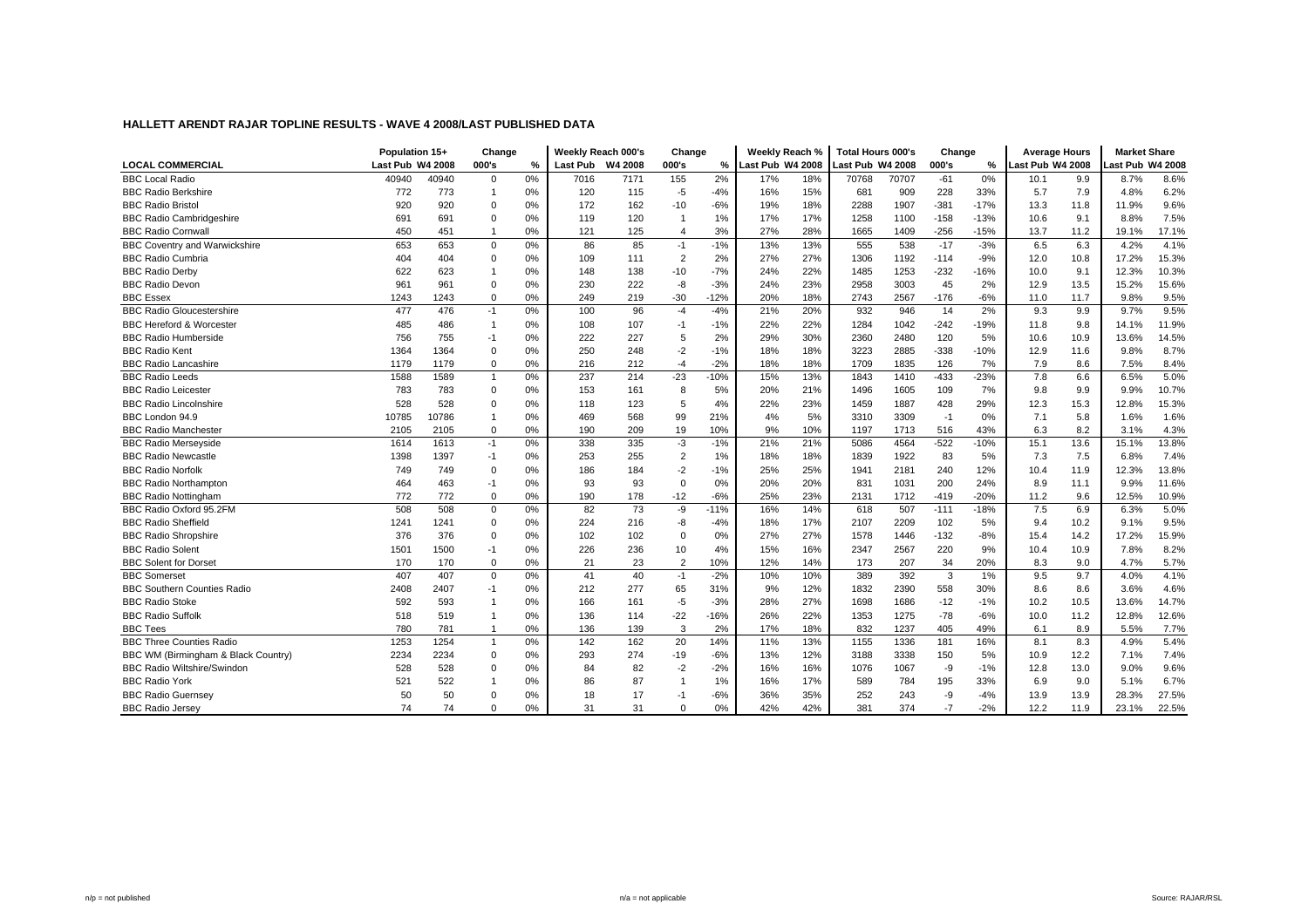|                                      | Population 15+   |       | Change         |    | Weekly Reach 000's |         | Change         |        | Weekly Reach %   |     | <b>Total Hours 000's</b> |       | Change |        |                  | <b>Average Hours</b> | <b>Market Share</b> |       |
|--------------------------------------|------------------|-------|----------------|----|--------------------|---------|----------------|--------|------------------|-----|--------------------------|-------|--------|--------|------------------|----------------------|---------------------|-------|
| <b>LOCAL COMMERCIAL</b>              | Last Pub W4 2008 |       | 000's          | %  | <b>Last Pub</b>    | W4 2008 | 000's          | %      | Last Pub W4 2008 |     | Last Pub W4 2008         |       | 000's  | %      | Last Pub W4 2008 |                      | ast Pub W4 2008     |       |
| <b>BBC Local Radio</b>               | 40940            | 40940 | $\mathbf 0$    | 0% | 7016               | 7171    | 155            | 2%     | 17%              | 18% | 70768                    | 70707 | $-61$  | 0%     | 10.1             | 9.9                  | 8.7%                | 8.6%  |
| <b>BBC Radio Berkshire</b>           | 772              | 773   | $\overline{1}$ | 0% | 120                | 115     | $-5$           | $-4%$  | 16%              | 15% | 681                      | 909   | 228    | 33%    | 5.7              | 7.9                  | 4.8%                | 6.2%  |
| <b>BBC Radio Bristol</b>             | 920              | 920   | $\mathbf 0$    | 0% | 172                | 162     | $-10$          | $-6%$  | 19%              | 18% | 2288                     | 1907  | $-381$ | $-17%$ | 13.3             | 11.8                 | 11.9%               | 9.6%  |
| <b>BBC Radio Cambridgeshire</b>      | 691              | 691   | $\mathbf 0$    | 0% | 119                | 120     |                | 1%     | 17%              | 17% | 1258                     | 1100  | $-158$ | $-13%$ | 10.6             | 9.1                  | 8.8%                | 7.5%  |
| <b>BBC Radio Cornwall</b>            | 450              | 451   | $\overline{1}$ | 0% | 121                | 125     | $\overline{4}$ | 3%     | 27%              | 28% | 1665                     | 1409  | $-256$ | $-15%$ | 13.7             | 11.2                 | 19.1%               | 17.1% |
| <b>BBC Coventry and Warwickshire</b> | 653              | 653   | $\mathsf 0$    | 0% | 86                 | 85      | $-1$           | $-1%$  | 13%              | 13% | 555                      | 538   | $-17$  | $-3%$  | 6.5              | 6.3                  | 4.2%                | 4.1%  |
| <b>BBC Radio Cumbria</b>             | 404              | 404   | $\mathbf 0$    | 0% | 109                | 111     | $\overline{2}$ | 2%     | 27%              | 27% | 1306                     | 1192  | $-114$ | $-9%$  | 12.0             | 10.8                 | 17.2%               | 15.3% |
| <b>BBC Radio Derby</b>               | 622              | 623   | $\overline{1}$ | 0% | 148                | 138     | $-10$          | $-7%$  | 24%              | 22% | 1485                     | 1253  | $-232$ | -16%   | 10.0             | 9.1                  | 12.3%               | 10.3% |
| <b>BBC Radio Devon</b>               | 961              | 961   | $\mathbf 0$    | 0% | 230                | 222     | -8             | $-3%$  | 24%              | 23% | 2958                     | 3003  | 45     | 2%     | 12.9             | 13.5                 | 15.2%               | 15.6% |
| <b>BBC Essex</b>                     | 1243             | 1243  | $\mathbf 0$    | 0% | 249                | 219     | $-30$          | $-12%$ | 20%              | 18% | 2743                     | 2567  | $-176$ | $-6%$  | 11.0             | 11.7                 | 9.8%                | 9.5%  |
| <b>BBC Radio Gloucestershire</b>     | 477              | 476   | $-1$           | 0% | 100                | 96      | $-4$           | $-4%$  | 21%              | 20% | 932                      | 946   | 14     | 2%     | 9.3              | 9.9                  | 9.7%                | 9.5%  |
| <b>BBC Hereford &amp; Worcester</b>  | 485              | 486   | $\overline{1}$ | 0% | 108                | 107     | $-1$           | $-1%$  | 22%              | 22% | 1284                     | 1042  | $-242$ | $-19%$ | 11.8             | 9.8                  | 14.1%               | 11.9% |
| <b>BBC Radio Humberside</b>          | 756              | 755   | $-1$           | 0% | 222                | 227     | 5              | 2%     | 29%              | 30% | 2360                     | 2480  | 120    | 5%     | 10.6             | 10.9                 | 13.6%               | 14.5% |
| <b>BBC Radio Kent</b>                | 1364             | 1364  | $\mathbf 0$    | 0% | 250                | 248     | $-2$           | $-1%$  | 18%              | 18% | 3223                     | 2885  | $-338$ | $-10%$ | 12.9             | 11.6                 | 9.8%                | 8.7%  |
| <b>BBC Radio Lancashire</b>          | 1179             | 1179  | $\mathbf 0$    | 0% | 216                | 212     | $-4$           | $-2%$  | 18%              | 18% | 1709                     | 1835  | 126    | 7%     | 7.9              | 8.6                  | 7.5%                | 8.4%  |
| <b>BBC Radio Leeds</b>               | 1588             | 1589  | $\mathbf{1}$   | 0% | 237                | 214     | $-23$          | $-10%$ | 15%              | 13% | 1843                     | 1410  | $-433$ | $-23%$ | 7.8              | 6.6                  | 6.5%                | 5.0%  |
| <b>BBC Radio Leicester</b>           | 783              | 783   | $\mathbf 0$    | 0% | 153                | 161     | 8              | 5%     | 20%              | 21% | 1496                     | 1605  | 109    | 7%     | 9.8              | 9.9                  | 9.9%                | 10.7% |
| <b>BBC Radio Lincolnshire</b>        | 528              | 528   | $\mathbf 0$    | 0% | 118                | 123     | 5              | 4%     | 22%              | 23% | 1459                     | 1887  | 428    | 29%    | 12.3             | 15.3                 | 12.8%               | 15.3% |
| BBC London 94.9                      | 10785            | 10786 | $\overline{1}$ | 0% | 469                | 568     | 99             | 21%    | 4%               | 5%  | 3310                     | 3309  | $-1$   | 0%     | 7.1              | 5.8                  | 1.6%                | 1.6%  |
| <b>BBC Radio Manchester</b>          | 2105             | 2105  | $\mathbf 0$    | 0% | 190                | 209     | 19             | 10%    | 9%               | 10% | 1197                     | 1713  | 516    | 43%    | 6.3              | 8.2                  | 3.1%                | 4.3%  |
| <b>BBC Radio Merseyside</b>          | 1614             | 1613  | $-1$           | 0% | 338                | 335     | $-3$           | $-1%$  | 21%              | 21% | 5086                     | 4564  | $-522$ | $-10%$ | 15.1             | 13.6                 | 15.1%               | 13.8% |
| <b>BBC Radio Newcastle</b>           | 1398             | 1397  | $-1$           | 0% | 253                | 255     | $\overline{2}$ | 1%     | 18%              | 18% | 1839                     | 1922  | 83     | 5%     | 7.3              | 7.5                  | 6.8%                | 7.4%  |
| <b>BBC Radio Norfolk</b>             | 749              | 749   | $\mathbf 0$    | 0% | 186                | 184     | $-2$           | $-1%$  | 25%              | 25% | 1941                     | 2181  | 240    | 12%    | 10.4             | 11.9                 | 12.3%               | 13.8% |
| <b>BBC Radio Northampton</b>         | 464              | 463   | $-1$           | 0% | 93                 | 93      | $\mathbf 0$    | 0%     | 20%              | 20% | 831                      | 1031  | 200    | 24%    | 8.9              | 11.1                 | 9.9%                | 11.6% |
| <b>BBC Radio Nottingham</b>          | 772              | 772   | $\mathbf 0$    | 0% | 190                | 178     | $-12$          | $-6%$  | 25%              | 23% | 2131                     | 1712  | $-419$ | $-20%$ | 11.2             | 9.6                  | 12.5%               | 10.9% |
| BBC Radio Oxford 95.2FM              | 508              | 508   | $\mathbf 0$    | 0% | 82                 | 73      | -9             | $-11%$ | 16%              | 14% | 618                      | 507   | $-111$ | $-18%$ | 7.5              | 6.9                  | 6.3%                | 5.0%  |
| <b>BBC Radio Sheffield</b>           | 1241             | 1241  | $\mathbf 0$    | 0% | 224                | 216     | $-8$           | $-4%$  | 18%              | 17% | 2107                     | 2209  | 102    | 5%     | 9.4              | 10.2                 | 9.1%                | 9.5%  |
| <b>BBC Radio Shropshire</b>          | 376              | 376   | $\mathbf 0$    | 0% | 102                | 102     | $\mathbf 0$    | 0%     | 27%              | 27% | 1578                     | 1446  | $-132$ | $-8%$  | 15.4             | 14.2                 | 17.2%               | 15.9% |
| <b>BBC Radio Solent</b>              | 1501             | 1500  | $-1$           | 0% | 226                | 236     | 10             | 4%     | 15%              | 16% | 2347                     | 2567  | 220    | 9%     | 10.4             | 10.9                 | 7.8%                | 8.2%  |
| <b>BBC Solent for Dorset</b>         | 170              | 170   | $\mathbf 0$    | 0% | 21                 | 23      | $\overline{2}$ | 10%    | 12%              | 14% | 173                      | 207   | 34     | 20%    | 8.3              | 9.0                  | 4.7%                | 5.7%  |
| <b>BBC Somerset</b>                  | 407              | 407   | $\mathbf 0$    | 0% | 41                 | 40      | $-1$           | $-2%$  | 10%              | 10% | 389                      | 392   | 3      | 1%     | 9.5              | 9.7                  | 4.0%                | 4.1%  |
| <b>BBC Southern Counties Radio</b>   | 2408             | 2407  | $-1$           | 0% | 212                | 277     | 65             | 31%    | 9%               | 12% | 1832                     | 2390  | 558    | 30%    | 8.6              | 8.6                  | 3.6%                | 4.6%  |
| <b>BBC Radio Stoke</b>               | 592              | 593   | $\overline{1}$ | 0% | 166                | 161     | $-5$           | $-3%$  | 28%              | 27% | 1698                     | 1686  | $-12$  | $-1%$  | 10.2             | 10.5                 | 13.6%               | 14.7% |
| <b>BBC Radio Suffolk</b>             | 518              | 519   | $\overline{1}$ | 0% | 136                | 114     | $-22$          | $-16%$ | 26%              | 22% | 1353                     | 1275  | $-78$  | $-6%$  | 10.0             | 11.2                 | 12.8%               | 12.6% |
| <b>BBC Tees</b>                      | 780              | 781   | $\overline{1}$ | 0% | 136                | 139     | 3              | 2%     | 17%              | 18% | 832                      | 1237  | 405    | 49%    | 6.1              | 8.9                  | 5.5%                | 7.7%  |
| <b>BBC Three Counties Radio</b>      | 1253             | 1254  | $\mathbf{1}$   | 0% | 142                | 162     | 20             | 14%    | 11%              | 13% | 1155                     | 1336  | 181    | 16%    | 8.1              | 8.3                  | 4.9%                | 5.4%  |
| BBC WM (Birmingham & Black Country)  | 2234             | 2234  | $\mathbf 0$    | 0% | 293                | 274     | $-19$          | $-6%$  | 13%              | 12% | 3188                     | 3338  | 150    | 5%     | 10.9             | 12.2                 | 7.1%                | 7.4%  |
| <b>BBC Radio Wiltshire/Swindon</b>   | 528              | 528   | $\mathbf 0$    | 0% | 84                 | 82      | $-2$           | $-2%$  | 16%              | 16% | 1076                     | 1067  | -9     | $-1%$  | 12.8             | 13.0                 | 9.0%                | 9.6%  |
| <b>BBC Radio York</b>                | 521              | 522   | $\overline{1}$ | 0% | 86                 | 87      |                | 1%     | 16%              | 17% | 589                      | 784   | 195    | 33%    | 6.9              | 9.0                  | 5.1%                | 6.7%  |
| <b>BBC Radio Guernsey</b>            | 50               | 50    | $\Omega$       | 0% | 18                 | 17      | $-1$           | $-6%$  | 36%              | 35% | 252                      | 243   | -9     | $-4%$  | 13.9             | 13.9                 | 28.3%               | 27.5% |
| <b>BBC Radio Jersey</b>              | 74               | 74    | $\Omega$       | 0% | 31                 | 31      | $\Omega$       | 0%     | 42%              | 42% | 381                      | 374   | $-7$   | $-2%$  | 12.2             | 11.9                 | 23.1%               | 22.5% |